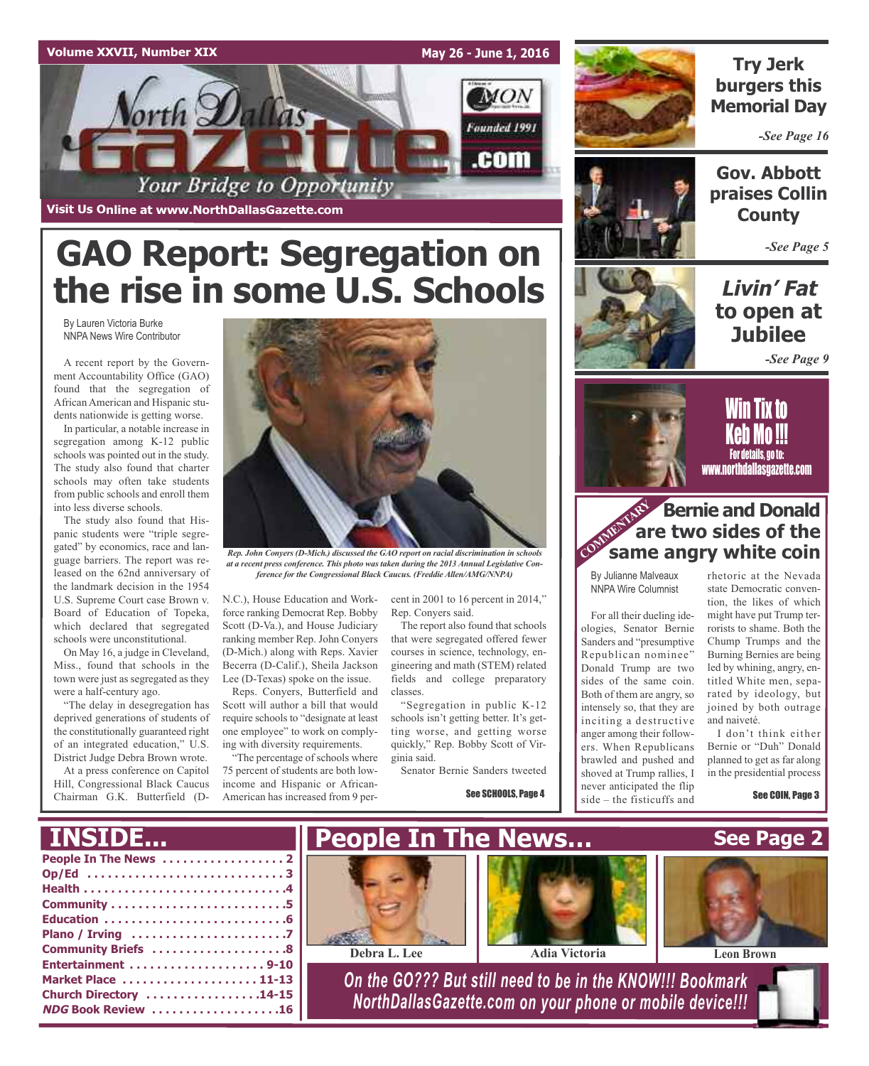## **Volume XXVII, Number XIX**

*Vorth Dallas* Founded 1991 Your Bridge to Opportunity **Visit Us Online at www.NorthDallasGazette.com**

## **GAO Report: Segregation on the rise in some U.S. Schools**

By Lauren Victoria Burke NNPA News Wire Contributor

A recent report by the Government Accountability Office (GAO) found that the segregation of African American and Hispanic students nationwide is getting worse.

In particular, a notable increase in segregation among K-12 public schools was pointed out in the study. The study also found that charter schools may often take students from public schools and enroll them into less diverse schools.

The study also found that Hispanic students were "triple segregated" by economics, race and language barriers. The report was released on the 62nd anniversary of the landmark decision in the 1954 U.S. Supreme Court case Brown v. Board of Education of Topeka, which declared that segregated schools were unconstitutional.

On May 16, a judge in Cleveland, Miss., found that schools in the town were just as segregated as they were a half-century ago.

"The delay in desegregation has deprived generations of students of the constitutionally guaranteed right of an integrated education," U.S. District Judge Debra Brown wrote.

At a press conference on Capitol Hill, Congressional Black Caucus Chairman G.K. Butterfield (D-



*at a recent press conference. This photo was taken during the 2013 Annual Legislative Conference for the Congressional Black Caucus. (Freddie Allen/AMG/NNPA)*

N.C.), House Education and Workforce ranking Democrat Rep. Bobby Scott (D-Va.), and House Judiciary ranking member Rep. John Conyers (D-Mich.) along with Reps. Xavier Becerra (D-Calif.), Sheila Jackson Lee (D-Texas) spoke on the issue.

Reps. Conyers, Butterfield and Scott will author a bill that would require schools to "designate at least one employee" to work on complying with diversity requirements.

"The percentage of schools where 75 percent of students are both lowincome and Hispanic or African-American has increased from 9 percent in 2001 to 16 percent in 2014," Rep. Conyers said.

**May 26 - June 1, 2016**

**MON** 

.com

The report also found that schools that were segregated offered fewer courses in science, technology, engineering and math (STEM) related fields and college preparatory classes.

"Segregation in public K-12 schools isn't getting better. It's getting worse, and getting worse quickly," Rep. Bobby Scott of Virginia said.

Senator Bernie Sanders tweeted

See SCHOOLS, Page 4



## **Try Jerk burgers this Memorial Day**

*-See Page 16*



**Gov. Abbott praises Collin County**

*-See Page 5*

## **Livin' Fat to open at Jubilee**

*-See Page 9*



<u>Will tix to</u> Keb Mo !!! For details, go to: www.northdallasgazette.com

## **Bernie and Donald are two sides of the same angry white coin**<br> **COMMERGING A STARK STARK STARK STARKS WHITE COIN**

By Julianne Malveaux NNPA Wire Columnist

For all their dueling ideologies, Senator Bernie Sanders and "presumptive Republican nominee" Donald Trump are two sides of the same coin. Both of them are angry, so intensely so, that they are inciting a destructive anger among their followers. When Republicans brawled and pushed and shoved at Trump rallies, I never anticipated the flip side – the fisticuffs and

rhetoric at the Nevada state Democratic convention, the likes of which might have put Trump terrorists to shame. Both the Chump Trumps and the Burning Bernies are being led by whining, angry, entitled White men, separated by ideology, but joined by both outrage and naiveté.

I don't think either Bernie or "Duh" Donald planned to get as far along in the presidential process

See COIN, Page 3

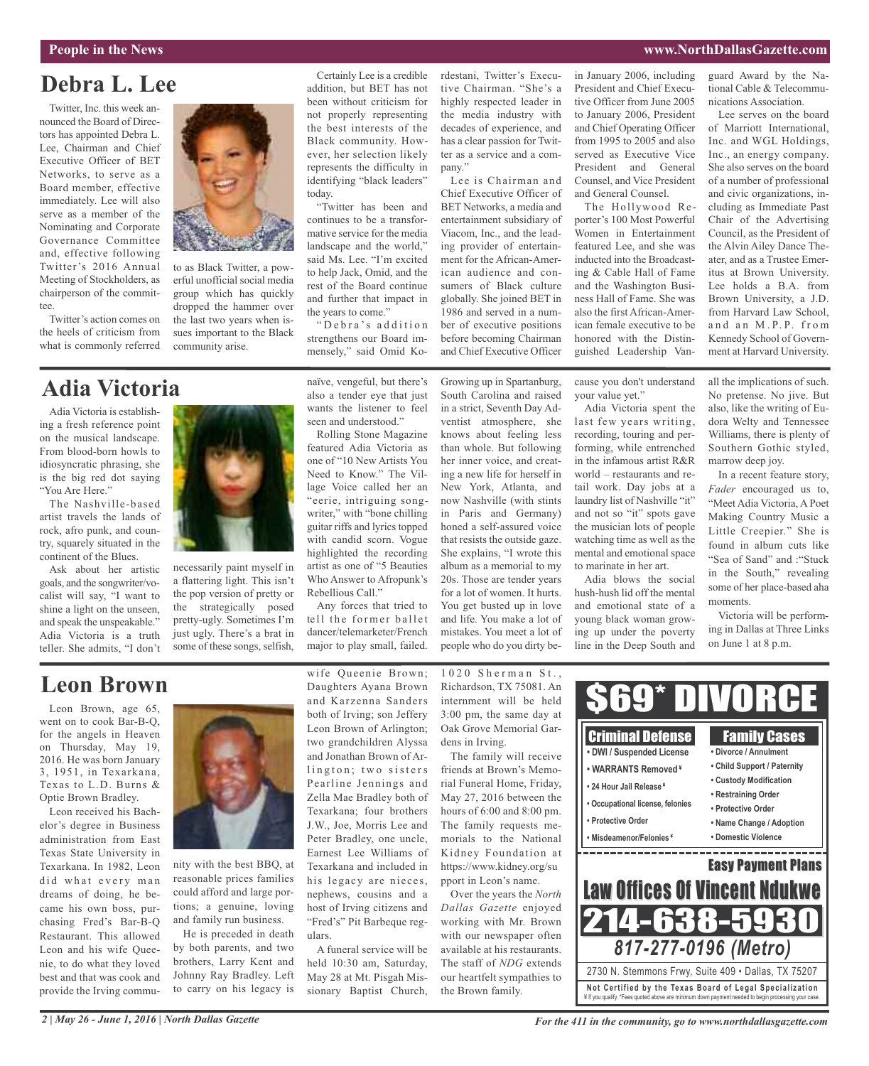#### **People in the News www.NorthDallasGazette.com**

## **Debra L. Lee**

Twitter, Inc. this week announced the Board of Directors has appointed Debra L. Lee, Chairman and Chief Executive Officer of BET Networks, to serve as a Board member, effective immediately. Lee will also serve as a member of the Nominating and Corporate Governance Committee and, effective following Twitter's 2016 Annual Meeting of Stockholders, as chairperson of the committee.

Twitter's action comes on the heels of criticism from what is commonly referred

## **Adia Victoria**

Adia Victoria is establishing a fresh reference point on the musical landscape. From blood-born howls to idiosyncratic phrasing, she is the big red dot saying "You Are Here."

The Nashville-based artist travels the lands of rock, afro punk, and country, squarely situated in the continent of the Blues.

Ask about her artistic goals, and the songwriter/vocalist will say, "I want to shine a light on the unseen, and speak the unspeakable." Adia Victoria is a truth teller. She admits, "I don't



to as Black Twitter, a powerful unofficial social media group which has quickly dropped the hammer over the last two years when issues important to the Black

necessarily paint myself in a flattering light. This isn't the pop version of pretty or the strategically posed pretty-ugly. Sometimes I'm just ugly. There's a brat in some of these songs, selfish,

Certainly Lee is a credible addition, but BET has not been without criticism for not properly representing the best interests of the Black community. However, her selection likely represents the difficulty in identifying "black leaders" today.

"Twitter has been and continues to be a transformative service for the media landscape and the world," said Ms. Lee. "I'm excited to help Jack, Omid, and the rest of the Board continue and further that impact in the years to come."

"Debra's addition strengthens our Board immensely," said Omid Ko-

naïve, vengeful, but there's also a tender eye that just wants the listener to feel seen and understood."

Rolling Stone Magazine featured Adia Victoria as one of "10 New Artists You Need to Know." The Village Voice called her an "eerie, intriguing songwriter," with "bone chilling guitar riffs and lyrics topped with candid scorn. Vogue highlighted the recording artist as one of "5 Beauties Who Answer to Afropunk's Rebellious Call." Any forces that tried to

tell the former ballet dancer/telemarketer/French major to play small, failed.

rdestani, Twitter's Executive Chairman. "She's a highly respected leader in the media industry with decades of experience, and has a clear passion for Twitter as a service and a company."

Lee is Chairman and Chief Executive Officer of BET Networks, a media and entertainment subsidiary of Viacom, Inc., and the leading provider of entertainment for the African-American audience and consumers of Black culture globally. She joined BET in 1986 and served in a number of executive positions before becoming Chairman and Chief Executive Officer

South Carolina and raised in a strict, Seventh Day Adventist atmosphere, she for a lot of women. It hurts. You get busted up in love and life. You make a lot of mistakes. You meet a lot of people who do you dirty bein January 2006, including President and Chief Executive Officer from June 2005 to January 2006, President and Chief Operating Officer from 1995 to 2005 and also served as Executive Vice President and General Counsel, and Vice President and General Counsel.

The Hollywood Reporter's 100 Most Powerful Women in Entertainment featured Lee, and she was inducted into the Broadcasting & Cable Hall of Fame and the Washington Business Hall of Fame. She was also the first African-American female executive to be honored with the Distinguished Leadership Van-

cause you don't understand your value yet."

Adia Victoria spent the last few years writing, recording, touring and performing, while entrenched in the infamous artist R&R world – restaurants and retail work. Day jobs at a laundry list of Nashville "it" and not so "it" spots gave the musician lots of people watching time as well as the mental and emotional space to marinate in her art.

Adia blows the social hush-hush lid off the mental and emotional state of a young black woman growing up under the poverty line in the Deep South and guard Award by the National Cable & Telecommunications Association.

Lee serves on the board of Marriott International, Inc. and WGL Holdings, Inc., an energy company. She also serves on the board of a number of professional and civic organizations, including as Immediate Past Chair of the Advertising Council, as the President of the Alvin Ailey Dance Theater, and as a Trustee Emeritus at Brown University. Lee holds a B.A. from Brown University, a J.D. from Harvard Law School, and an M.P.P. from Kennedy School of Government at Harvard University.

all the implications of such. No pretense. No jive. But also, like the writing of Eudora Welty and Tennessee Williams, there is plenty of Southern Gothic styled, marrow deep joy.

In a recent feature story, *Fader* encouraged us to, "Meet Adia Victoria, A Poet Making Country Music a Little Creepier." She is found in album cuts like "Sea of Sand" and :"Stuck in the South," revealing some of her place-based aha moments.

Victoria will be performing in Dallas at Three Links on June 1 at 8 p.m.

## **Leon Brown**

Leon Brown, age 65, went on to cook Bar-B-Q, for the angels in Heaven on Thursday, May 19, 2016. He was born January 3, 1951, in Texarkana, Texas to L.D. Burns & Optie Brown Bradley.

Leon received his Bachelor's degree in Business administration from East Texas State University in Texarkana. In 1982, Leon did what every man dreams of doing, he became his own boss, purchasing Fred's Bar-B-Q Restaurant. This allowed Leon and his wife Queenie, to do what they loved best and that was cook and provide the Irving commu-



nity with the best BBQ, at reasonable prices families could afford and large portions; a genuine, loving and family run business.

He is preceded in death by both parents, and two brothers, Larry Kent and Johnny Ray Bradley. Left to carry on his legacy is

wife Queenie Brown; Daughters Ayana Brown and Karzenna Sanders both of Irving; son Jeffery Leon Brown of Arlington; two grandchildren Alyssa and Jonathan Brown of Arlington; two sisters Pearline Jennings and Zella Mae Bradley both of Texarkana; four brothers J.W., Joe, Morris Lee and Peter Bradley, one uncle, Earnest Lee Williams of Texarkana and included in his legacy are nieces, nephews, cousins and a host of Irving citizens and "Fred's" Pit Barbeque regulars.

A funeral service will be held 10:30 am, Saturday, May 28 at Mt. Pisgah Missionary Baptist Church,

1020 Sherman St., Richardson, TX 75081. An internment will be held 3:00 pm, the same day at Oak Grove Memorial Gardens in Irving.

The family will receive friends at Brown's Memorial Funeral Home, Friday, May 27, 2016 between the hours of 6:00 and 8:00 pm. The family requests memorials to the National Kidney Foundation at https://www.kidney.org/su pport in Leon's name.

Over the years the *North Dallas Gazette* enjoyed working with Mr. Brown with our newspaper often available at his restaurants. The staff of *NDG* extends our heartfelt sympathies to the Brown family.



Growing up in Spartanburg,

knows about feeling less than whole. But following her inner voice, and creating a new life for herself in New York, Atlanta, and now Nashville (with stints in Paris and Germany) honed a self-assured voice that resists the outside gaze. She explains, "I wrote this album as a memorial to my 20s. Those are tender years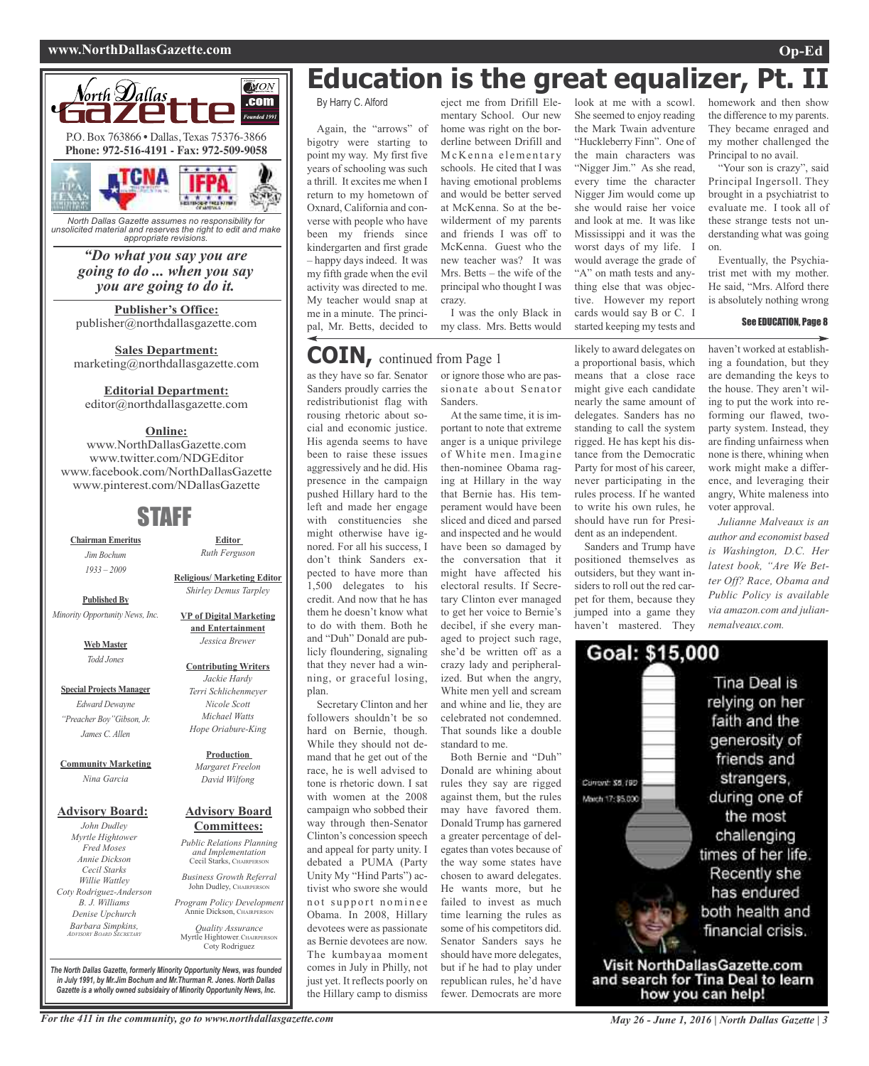#### **www.NorthDallasGazette.com Op-Ed**



*North Dallas Gazette assumes no responsibility for unsolicited material and reserves the right to edit and make appropriate revisions.*

## *"Do what you say you are going to do ... when you say you are going to do it.*

**Publisher's Office:** publisher@northdallasgazette.com

**Sales Department:** marketing@northdallasgazette.com

**Editorial Department:**

editor@northdallasgazette.com

## **Online:**

www.NorthDallasGazette.com www.twitter.com/NDGEditor www.facebook.com/NorthDallasGazette www.pinterest.com/NDallasGazette

## STAFF

**Chairman Emeritus** *Jim Bochum 1933 – 2009*

**Published By** *Minority Opportunity News, Inc.*

> **Web Master** *Todd Jones*

**Special Projects Manager** *Edward Dewayne "Preacher Boy"Gibson, Jr. James C. Allen*

**Community Marketing** *Nina Garcia*

#### **Advisory Board:**

*John Dudley Myrtle Hightower Fred Moses Annie Dickson Cecil Starks Willie Wattley Coty Rodriguez-Anderson B. J. Williams Denise Upchurch Barbara Simpkins, ADVISORY BOARD SECRETARY*

**Advisory Board Committees:** *Public Relations Planning and Implementation*

*Business Growth Referral* John Dudley, CHAIRPERSO

*Program Policy Development* Annie Dickson, CHAIRPE

*Quality Assurance* Myrtle Hightower, CHAIRPERS Coty Rodriguez

**Education is the great equalizer, Pt.** 

By Harry C. Alford

Again, the "arrows" of bigotry were starting to point my way. My first five years of schooling was such a thrill. It excites me when I return to my hometown of Oxnard, California and converse with people who have been my friends since kindergarten and first grade – happy days indeed. It was my fifth grade when the evil activity was directed to me. My teacher would snap at me in a minute. The principal, Mr. Betts, decided to

eject me from Drifill Elementary School. Our new home was right on the borderline between Drifill and McKenna elementary schools. He cited that I was having emotional problems and would be better served at McKenna. So at the bewilderment of my parents and friends I was off to McKenna. Guest who the new teacher was? It was Mrs. Betts – the wife of the principal who thought I was crazy.

I was the only Black in my class. Mrs. Betts would

## **COIN,** continued from Page <sup>1</sup>

as they have so far. Senator Sanders proudly carries the redistributionist flag with rousing rhetoric about social and economic justice. His agenda seems to have been to raise these issues aggressively and he did. His presence in the campaign pushed Hillary hard to the left and made her engage with constituencies she might otherwise have ignored. For all his success, I don't think Sanders expected to have more than 1,500 delegates to his credit. And now that he has them he doesn't know what to do with them. Both he and "Duh" Donald are publicly floundering, signaling that they never had a winning, or graceful losing, plan.

Secretary Clinton and her followers shouldn't be so hard on Bernie, though. While they should not demand that he get out of the race, he is well advised to tone is rhetoric down. I sat with women at the 2008 campaign who sobbed their way through then-Senator Clinton's concession speech and appeal for party unity. I debated a PUMA (Party Unity My "Hind Parts") activist who swore she would not support nominee Obama. In 2008, Hillary devotees were as passionate as Bernie devotees are now. The kumbayaa moment comes in July in Philly, not just yet. It reflects poorly on the Hillary camp to dismiss

or ignore those who are passionate about Senator Sanders.

At the same time, it is important to note that extreme anger is a unique privilege of White men. Imagine then-nominee Obama raging at Hillary in the way that Bernie has. His temperament would have been sliced and diced and parsed and inspected and he would have been so damaged by the conversation that it might have affected his electoral results. If Secretary Clinton ever managed to get her voice to Bernie's decibel, if she every managed to project such rage, she'd be written off as a crazy lady and peripheralized. But when the angry, White men yell and scream and whine and lie, they are celebrated not condemned. That sounds like a double standard to me.

Both Bernie and "Duh" Donald are whining about rules they say are rigged against them, but the rules may have favored them. Donald Trump has garnered a greater percentage of delegates than votes because of the way some states have chosen to award delegates. He wants more, but he failed to invest as much time learning the rules as some of his competitors did. Senator Sanders says he should have more delegates, but if he had to play under republican rules, he'd have fewer. Democrats are more look at me with a scowl. She seemed to enjoy reading the Mark Twain adventure "Huckleberry Finn". One of the main characters was "Nigger Jim." As she read, every time the character Nigger Jim would come up she would raise her voice and look at me. It was like Mississippi and it was the worst days of my life. I would average the grade of "A" on math tests and anything else that was objective. However my report cards would say B or C. I started keeping my tests and

likely to award delegates on a proportional basis, which means that a close race might give each candidate nearly the same amount of delegates. Sanders has no standing to call the system rigged. He has kept his distance from the Democratic Party for most of his career, never participating in the rules process. If he wanted to write his own rules, he should have run for President as an independent.

Sanders and Trump have positioned themselves as outsiders, but they want insiders to roll out the red carpet for them, because they jumped into a game they haven't mastered. They

homework and then show the difference to my parents. They became enraged and my mother challenged the Principal to no avail.

"Your son is crazy", said Principal Ingersoll. They brought in a psychiatrist to evaluate me. I took all of these strange tests not understanding what was going on.

Eventually, the Psychiatrist met with my mother. He said, "Mrs. Alford there is absolutely nothing wrong

#### See EDUCATION, Page 8

haven't worked at establishing a foundation, but they are demanding the keys to the house. They aren't wiling to put the work into reforming our flawed, twoparty system. Instead, they are finding unfairness when none is there, whining when work might make a difference, and leveraging their angry, White maleness into voter approval.

*Julianne Malveaux is an author and economist based is Washington, D.C. Her latest book, "Are We Better Off? Race, Obama and Public Policy is available via amazon.com and juliannemalveaux.com.*



*The North Dallas Gazette, formerly Minority Opportunity News, was founded in July 1991, by Mr.Jim Bochum and Mr.Thurman R. Jones. North Dallas Gazette is a wholly owned subsidairy of Minority Opportunity News, Inc.*

**Contributing Writers** *Jackie Hardy Terri Schlichenmeyer Nicole Scott*

**Editor** *Ruth Ferguson*

**Religious/ Marketing Editor** *Shirley Demus Tarpley*

**VP of Digital Marketing and Entertainment** *Jessica Brewer*

## *Michael Watts Hope Oriabure-King*

**Production** *Margaret Freelon David Wilfong*

Cecil Starks, CHAIRPERSON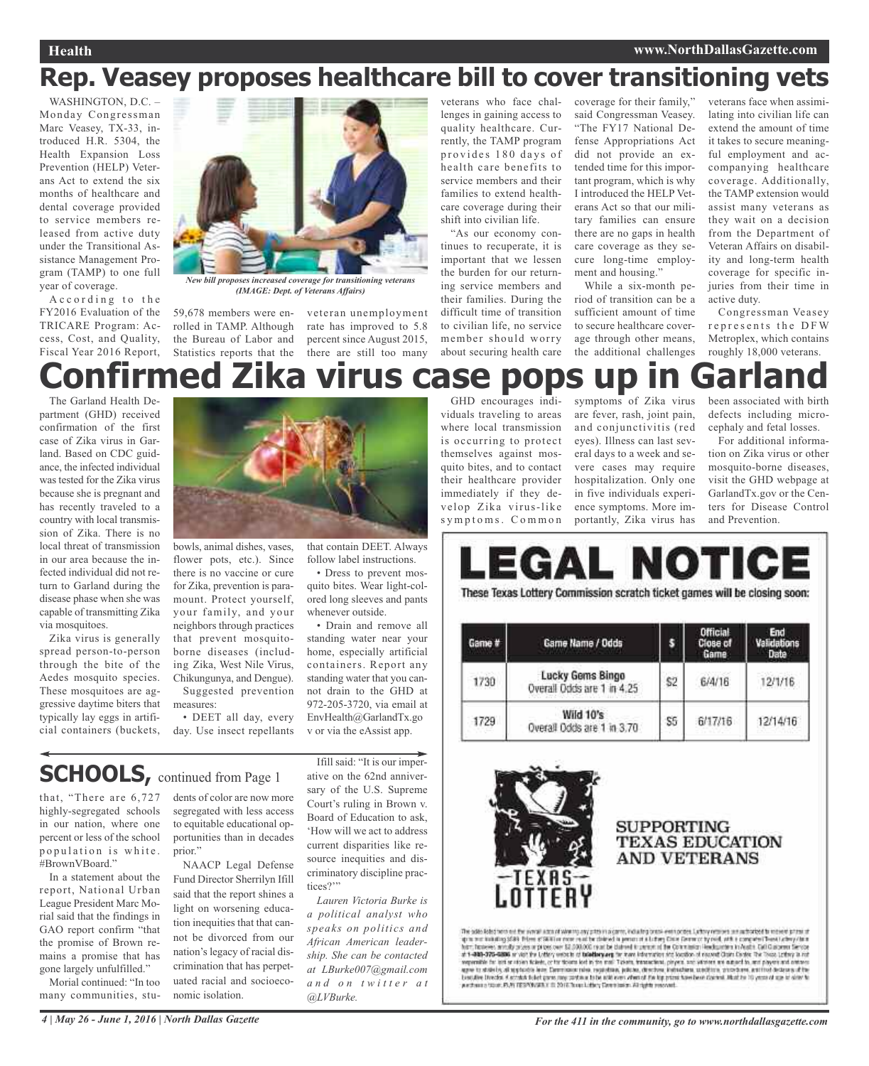## **Rep. Veasey proposes healthcare bill to cover transitioning vets**

WASHINGTON, D.C. – Monday Congressman Marc Veasey, TX-33, introduced H.R. 5304, the Health Expansion Loss Prevention (HELP) Veterans Act to extend the six months of healthcare and dental coverage provided to service members released from active duty under the Transitional Assistance Management Program (TAMP) to one full year of coverage.

A c c ording to the FY2016 Evaluation of the TRICARE Program: Access, Cost, and Quality, Fiscal Year 2016 Report,



*New bill proposes increased coverage for transitioning veterans (IMAGE: Dept. of Veterans Affairs)*

59,678 members were enrolled in TAMP. Although the Bureau of Labor and Statistics reports that the there are still too many

veteran unemployment rate has improved to 5.8 percent since August 2015,

follow label instructions. • Dress to prevent mosquito bites. Wear light-colored long sleeves and pants

whenever outside.

veterans who face challenges in gaining access to quality healthcare. Currently, the TAMP program provides 180 days of health care benefits to service members and their families to extend healthcare coverage during their shift into civilian life.

"As our economy continues to recuperate, it is important that we lessen the burden for our returning service members and their families. During the difficult time of transition to civilian life, no service member should worry about securing health care

coverage for their family," said Congressman Veasey. "The FY17 National Defense Appropriations Act did not provide an extended time for this important program, which is why I introduced the HELP Veterans Act so that our military families can ensure there are no gaps in health care coverage as they secure long-time employment and housing."

While a six-month period of transition can be a sufficient amount of time to secure healthcare coverage through other means, the additional challenges

veterans face when assimilating into civilian life can extend the amount of time it takes to secure meaningful employment and accompanying healthcare coverage. Additionally, the TAMP extension would assist many veterans as they wait on a decision from the Department of Veteran Affairs on disability and long-term health coverage for specific injuries from their time in active duty.

Congressman Veasey represents the DFW Metroplex, which contains roughly 18,000 veterans.

## GHD encourages indi-**Confirmed Zika virus case pops up in Garland**

The Garland Health Department (GHD) received confirmation of the first case of Zika virus in Garland. Based on CDC guidance, the infected individual was tested for the Zika virus because she is pregnant and has recently traveled to a country with local transmission of Zika. There is no local threat of transmission in our area because the infected individual did not return to Garland during the disease phase when she was capable of transmitting Zika via mosquitoes.

Zika virus is generally spread person-to-person through the bite of the Aedes mosquito species. These mosquitoes are aggressive daytime biters that typically lay eggs in artificial containers (buckets,



bowls, animal dishes, vases, flower pots, etc.). Since there is no vaccine or cure for Zika, prevention is paramount. Protect yourself, your family, and your neighbors through practices that prevent mosquitoborne diseases (including Zika, West Nile Virus, Chikungunya, and Dengue).

• DEET all day, every



day. Use insect repellants

## **SCHOOLS**, continued from Page 1

that, "There are 6,727 highly-segregated schools in our nation, where one percent or less of the school p o pulation is white. #BrownVBoard."

In a statement about the report, National Urban League President Marc Morial said that the findings in GAO report confirm "that the promise of Brown remains a promise that has gone largely unfulfilled."

Morial continued: "In too many communities, stu-

dents of color are now more segregated with less access to equitable educational opportunities than in decades prior."

NAACP Legal Defense Fund Director Sherrilyn Ifill said that the report shines a light on worsening education inequities that that cannot be divorced from our nation's legacy of racial discrimination that has perpetuated racial and socioeconomic isolation.

Ifill said: "It is our imperative on the 62nd anniversary of the U.S. Supreme Court's ruling in Brown v. Board of Education to ask, 'How will we act to address current disparities like resource inequities and discriminatory discipline practices?"

v or via the eAssist app.

*Lauren Victoria Burke is a political analyst who speaks on politics and African American leadership. She can be contacted at LBurke007@gmail.com a n d o n t w i t t e r a t @LVBurke.*

viduals traveling to areas where local transmission is occurring to protect themselves against mosquito bites, and to contact their healthcare provider immediately if they develop Zika virus-like symptoms. Common

symptoms of Zika virus are fever, rash, joint pain, and conjunctivitis (red eyes). Illness can last several days to a week and severe cases may require hospitalization. Only one in five individuals experience symptoms. More importantly, Zika virus has

been associated with birth defects including microcephaly and fetal losses.

For additional information on Zika virus or other mosquito-borne diseases visit the GHD webpage at GarlandTx.gov or the Centers for Disease Control and Prevention.

# These Texas Lottery Commission scratch ticket games will be closing soon:

| Game # | Game Name / Odds                                      |     | инен<br>Close of<br>Game: | $-112$<br>Validations<br>Date |
|--------|-------------------------------------------------------|-----|---------------------------|-------------------------------|
| 1730   | <b>Lucky Gems Bingo</b><br>Overall Odds are 1 in 4.25 | \$2 | 6/4/16                    | 12/1/16                       |
| 1729   | Wild 10's<br>Overall Dods are 1 in 3.70               | S5  | 6/17/16                   | 12/14/16                      |



## **SUPPORTING TEXAS EDUCATION AND VETERANS**

The sale ideo not be some about where any potential person is during their persons. Labor research in relative primaring state from a shall provide the state of the state of the state of the state of the state of the stat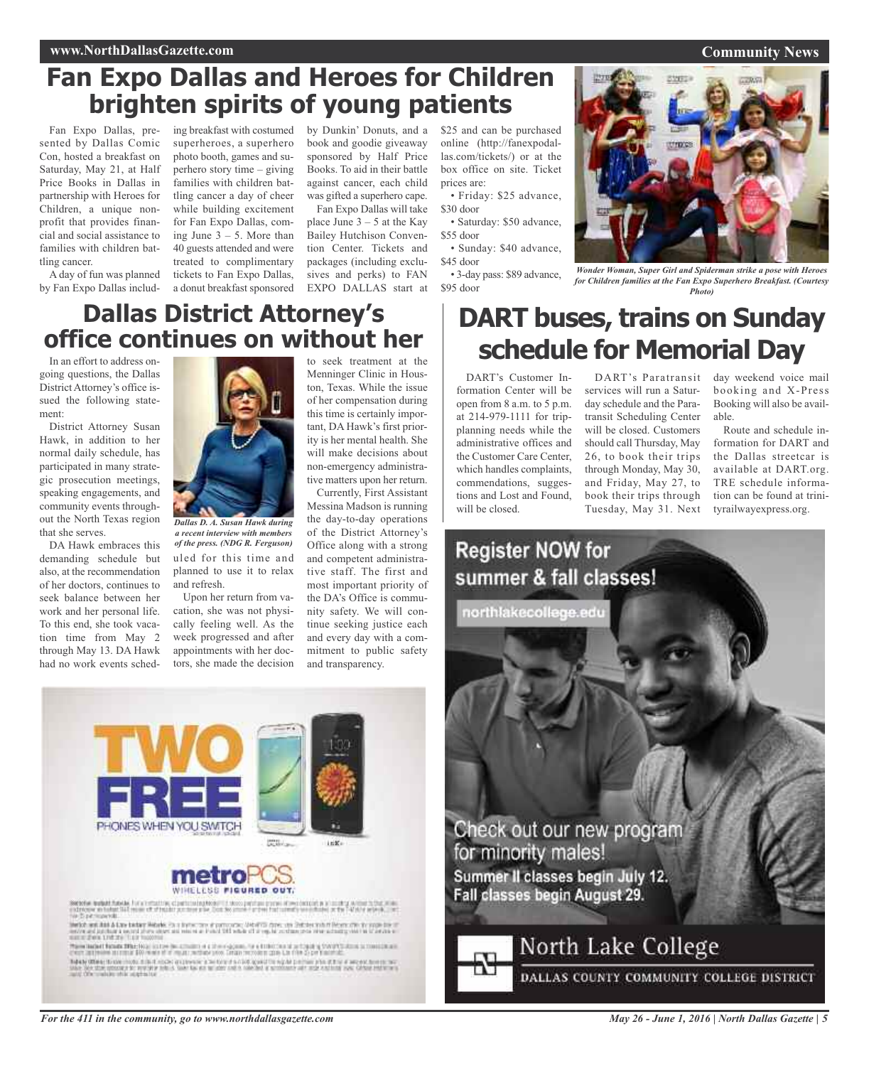## **Fan Expo Dallas and Heroes for Children brighten spirits of young patients**

Fan Expo Dallas, presented by Dallas Comic Con, hosted a breakfast on Saturday, May 21, at Half Price Books in Dallas in partnership with Heroes for Children, a unique nonprofit that provides financial and social assistance to families with children battling cancer.

A day of fun was planned by Fan Expo Dallas includ-

ing breakfast with costumed superheroes, a superhero photo booth, games and superhero story time – giving families with children battling cancer a day of cheer while building excitement for Fan Expo Dallas, coming June  $3 - 5$ . More than 40 guests attended and were treated to complimentary tickets to Fan Expo Dallas,

by Dunkin' Donuts, and a book and goodie giveaway sponsored by Half Price Books. To aid in their battle against cancer, each child was gifted a superhero cape.

a donut breakfast sponsored EXPO DALLAS start at Fan Expo Dallas will take place June  $3 - 5$  at the Kay Bailey Hutchison Convention Center. Tickets and packages (including exclusives and perks) to FAN

\$25 and can be purchased online (http://fanexpodallas.com/tickets/) or at the box office on site. Ticket prices are:

• Friday: \$25 advance, \$30 door

• Saturday: \$50 advance, \$55 door

• Sunday: \$40 advance, \$45 door

• 3-day pass: \$89 advance, \$95 door

**Community News**



*Wonder Woman, Super Girl and Spiderman strike a pose with Heroes for Children families at the Fan Expo Superhero Breakfast. (Courtesy Photo)*

## **Dallas District Attorney's office continues on without her**

In an effort to address ongoing questions, the Dallas District Attorney's office issued the following statement:

District Attorney Susan Hawk, in addition to her normal daily schedule, has participated in many strategic prosecution meetings, speaking engagements, and community events throughout the North Texas region that she serves.

DA Hawk embraces this demanding schedule but also, at the recommendation of her doctors, continues to seek balance between her work and her personal life. To this end, she took vacation time from May 2 through May 13. DA Hawk had no work events sched-



uled for this time and planned to use it to relax and refresh. *a recent interview with members of the press. (NDG R. Ferguson)*

Upon her return from vacation, she was not physically feeling well. As the week progressed and after appointments with her doctors, she made the decision to seek treatment at the Menninger Clinic in Houston, Texas. While the issue of her compensation during this time is certainly important, DA Hawk's first priority is her mental health. She will make decisions about non-emergency administrative matters upon her return.

Currently, First Assistant Messina Madson is running the day-to-day operations of the District Attorney's Office along with a strong and competent administrative staff. The first and most important priority of the DA's Office is community safety. We will continue seeking justice each and every day with a commitment to public safety and transparency.

## **DART buses, trains on Sunday schedule for Memorial Day**

DART's Customer Information Center will be open from 8 a.m. to 5 p.m. at 214-979-1111 for tripplanning needs while the administrative offices and the Customer Care Center, which handles complaints, commendations, suggestions and Lost and Found, will be closed.

DART's Paratransit services will run a Saturday schedule and the Paratransit Scheduling Center will be closed. Customers should call Thursday, May 26, to book their trips through Monday, May 30, and Friday, May 27, to book their trips through Tuesday, May 31. Next

day weekend voice mail booking and X-Press Booking will also be available.

Route and schedule information for DART and the Dallas streetcar is available at DART.org. TRE schedule information can be found at trinityrailwayexpress.org.





.<br>Service trabal function for a company of<br>patriotive in habit full received of the air (

links we has a low taken links in a link one of proposed of the case of the scale from the first of the propose of the state of the state of the state of the state of the state of the state of the state of the state of th

Topoly Office; the controls in that might engineers is being if a cloth agent to eight permany the if the it are not term to be<br>since the state prison in the relation to be in the case of a relation of a common out may cal

*For the 411 in the community, go to www.northdallasgazette.com*

*May 26 - June 1, 2016 | North Dallas Gazette | 5*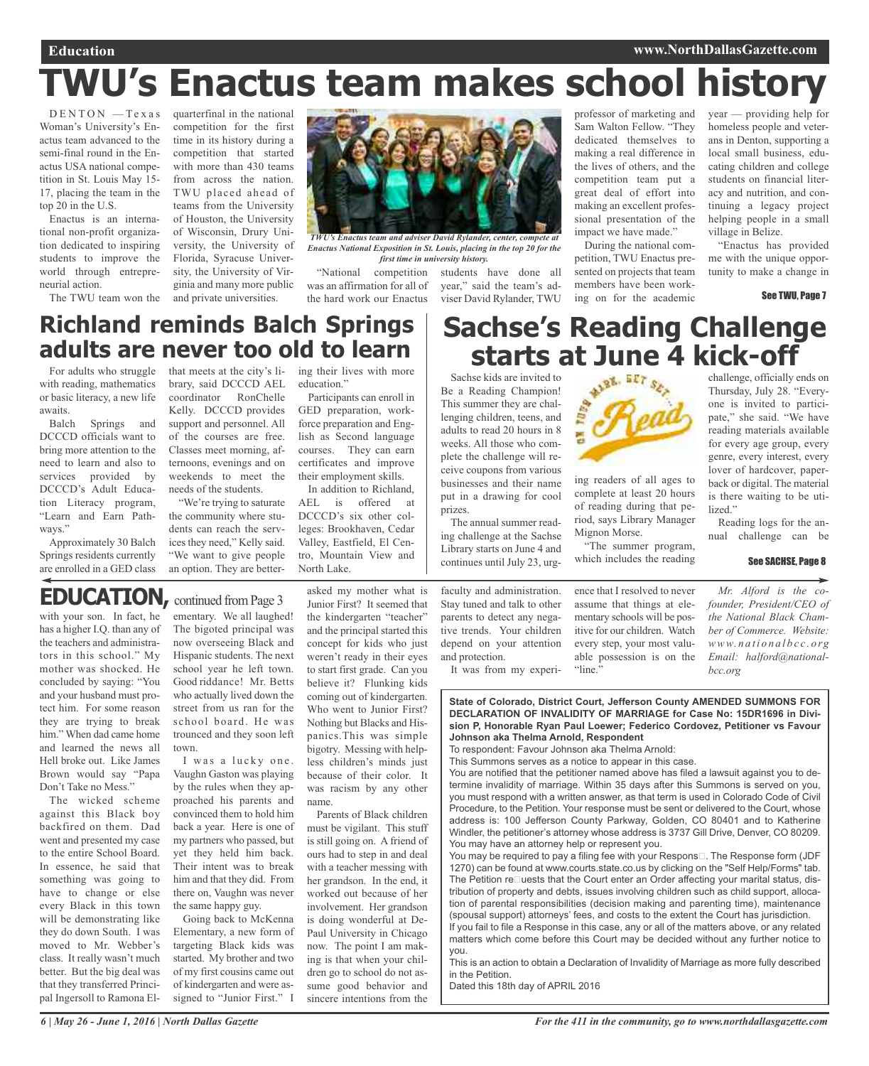# **TWU's Enactus team makes school history**

 $D E N T ON - T e x a s$ Woman's University's Enactus team advanced to the semi-final round in the Enactus USA national competition in St. Louis May 15- 17, placing the team in the top 20 in the U.S.

Enactus is an international non-profit organization dedicated to inspiring students to improve the world through entrepreneurial action.

The TWU team won the

quarterfinal in the national competition for the first time in its history during a competition that started with more than 430 teams from across the nation. TWU placed ahead of teams from the University of Houston, the University of Wisconsin, Drury University, the University of Florida, Syracuse University, the University of Virginia and many more public and private universities.



*TWU's Enactus team and adviser David Rylander, center, compete at Enactus National Exposition in St. Louis, placing in the top 20 for the first time in university history.*

"National competition students have done all was an affirmation for all of the hard work our Enactus

professor of marketing and Sam Walton Fellow. "They dedicated themselves to making a real difference in the lives of others, and the competition team put a great deal of effort into making an excellent professional presentation of the impact we have made."

During the national competition, TWU Enactus presented on projects that team members have been working on for the academic year — providing help for homeless people and veterans in Denton, supporting a local small business, educating children and college students on financial literacy and nutrition, and continuing a legacy project helping people in a small village in Belize.

"Enactus has provided me with the unique opportunity to make a change in

challenge, officially ends on Thursday, July 28. "Everyone is invited to partici-

See TWU, Page 7

## **Richland reminds Balch Springs adults are never too old to learn**

For adults who struggle with reading, mathematics or basic literacy, a new life awaits.

Balch Springs and DCCCD officials want to bring more attention to the need to learn and also to services provided by DCCCD's Adult Education Literacy program, "Learn and Earn Pathways."

Approximately 30 Balch Springs residents currently are enrolled in a GED class

that meets at the city's library, said DCCCD AEL coordinator RonChelle Kelly. DCCCD provides support and personnel. All of the courses are free. Classes meet morning, afternoons, evenings and on weekends to meet the needs of the students.

"We're trying to saturate the community where students can reach the services they need," Kelly said. "We want to give people an option. They are better-

ing their lives with more education."

Participants can enroll in GED preparation, workforce preparation and English as Second language courses. They can earn certificates and improve their employment skills.

In addition to Richland, AEL is offered at DCCCD's six other colleges: Brookhaven, Cedar Valley, Eastfield, El Centro, Mountain View and North Lake.

# **Sachse's Reading Challenge starts at June 4 kick-off**<br>
Reading Champion!

Sachse kids are invited to Be a Reading Champion! This summer they are challenging children, teens, and adults to read 20 hours in 8 weeks. All those who complete the challenge will receive coupons from various businesses and their name put in a drawing for cool prizes.

year," said the team's adviser David Rylander, TWU

The annual summer reading challenge at the Sachse Library starts on June 4 and continues until July 23, urg-



ing readers of all ages to complete at least 20 hours of reading during that period, says Library Manager Mignon Morse.

"The summer program, which includes the reading

itive for our children. Watch every step, your most valuable possession is on the pate," she said. "We have reading materials available for every age group, every genre, every interest, every lover of hardcover, paperback or digital. The material is there waiting to be utilized." Reading logs for the annual challenge can be

#### See SACHSE, Page 8

*Mr. Alford is the cofounder, President/CEO of the National Black Chamber of Commerce. Website: www. n a ti o n a l b c c . o rg Email: halford@national-*

*bcc.org*

## **EDUCATION, continued from Page 3**

with your son. In fact, he has a higher I.Q. than any of the teachers and administrators in this school." My mother was shocked. He concluded by saying: "You and your husband must protect him. For some reason they are trying to break him." When dad came home and learned the news all Hell broke out. Like James Brown would say "Papa Don't Take no Mess."

The wicked scheme against this Black boy backfired on them. Dad went and presented my case to the entire School Board. In essence, he said that something was going to have to change or else every Black in this town will be demonstrating like they do down South. I was moved to Mr. Webber's class. It really wasn't much better. But the big deal was that they transferred Principal Ingersoll to Ramona Elementary. We all laughed! The bigoted principal was now overseeing Black and Hispanic students. The next school year he left town. Good riddance! Mr. Betts who actually lived down the street from us ran for the school board. He was trounced and they soon left town.

I was a lucky one. Vaughn Gaston was playing by the rules when they approached his parents and convinced them to hold him back a year. Here is one of my partners who passed, but yet they held him back. Their intent was to break him and that they did. From there on, Vaughn was never the same happy guy.

Going back to McKenna Elementary, a new form of targeting Black kids was started. My brother and two of my first cousins came out of kindergarten and were assigned to "Junior First." I

asked my mother what is Junior First? It seemed that the kindergarten "teacher" and the principal started this concept for kids who just weren't ready in their eyes to start first grade. Can you believe it? Flunking kids coming out of kindergarten. Who went to Junior First? Nothing but Blacks and Hispanics.This was simple bigotry. Messing with helpless children's minds just because of their color. It was racism by any other name.

Parents of Black children must be vigilant. This stuff is still going on. A friend of ours had to step in and deal with a teacher messing with her grandson. In the end, it worked out because of her involvement. Her grandson is doing wonderful at De-Paul University in Chicago now. The point I am making is that when your children go to school do not assume good behavior and sincere intentions from the

faculty and administration. Stay tuned and talk to other parents to detect any negative trends. Your children depend on your attention and protection.

It was from my experi-

**State of Colorado, District Court, Jefferson County AMENDED SUMMONS FOR DECLARATION OF INVALIDITY OF MARRIAGE for Case No: 15DR1696 in Division P, Honorable Ryan Paul Loewer; Federico Cordovez, Petitioner vs Favour Johnson aka Thelma Arnold, Respondent**

To respondent: Favour Johnson aka Thelma Arnold:

This Summons serves as a notice to appear in this case.

You are notified that the petitioner named above has filed a lawsuit against you to determine invalidity of marriage. Within 35 days after this Summons is served on you, you must respond with a written answer, as that term is used in Colorado Code of Civil Procedure, to the Petition. Your response must be sent or delivered to the Court, whose address is: 100 Jefferson County Parkway, Golden, CO 80401 and to Katherine Windler, the petitioner's attorney whose address is 3737 Gill Drive, Denver, CO 80209. You may have an attorney help or represent you.

You may be required to pay a filing fee with your Respons $\square$ . The Response form (JDF 1270) can be found at www.courts.state.co.us by clicking on the "Self Help/Forms" tab. The Petition reDuests that the Court enter an Order affecting your marital status, distribution of property and debts, issues involving children such as child support, allocation of parental responsibilities (decision making and parenting time), maintenance (spousal support) attorneys' fees, and costs to the extent the Court has jurisdiction.

If you fail to file a Response in this case, any or all of the matters above, or any related matters which come before this Court may be decided without any further notice to you.

This is an action to obtain a Declaration of Invalidity of Marriage as more fully described in the Petition.

Dated this 18th day of APRIL 2016



ence that I resolved to never assume that things at elementary schools will be pos-

"line."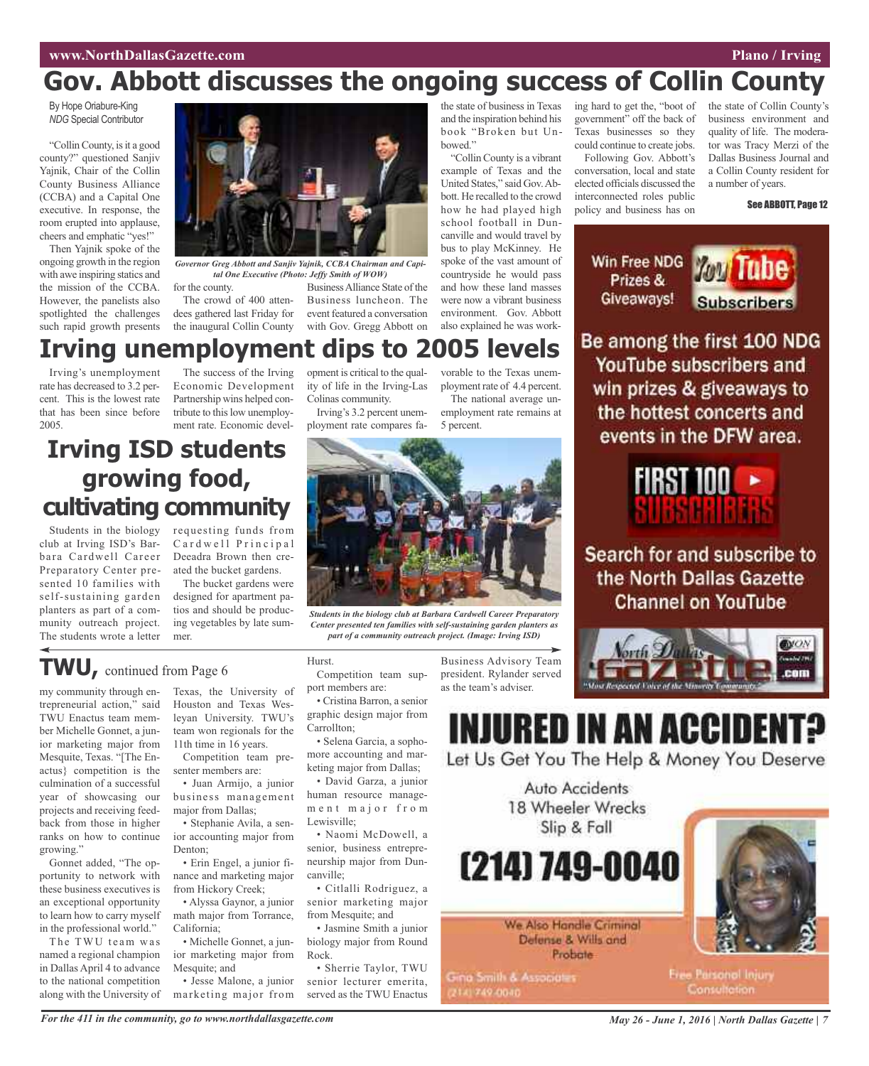## **Gov. Abbott discusses the ongoing success of Collin County**

By Hope Oriabure-King *NDG* Special Contributor

"Collin County, is it a good county?" questioned Sanjiv Yajnik, Chair of the Collin County Business Alliance (CCBA) and a Capital One executive. In response, the room erupted into applause, cheers and emphatic "yes!"

Then Yajnik spoke of the ongoing growth in the region with awe inspiring statics and the mission of the CCBA. However, the panelists also spotlighted the challenges such rapid growth presents

Irving's unemployment rate has decreased to 3.2 percent. This is the lowest rate that has been since before

2005.



*Governor Greg Abbott and Sanjiv Yajnik, CCBA Chairman and Capital One Executive (Photo: Jeffy Smith of WOW)*

**Irving unemployment dips to 2005 levels**

for the county. The crowd of 400 attendees gathered last Friday for the inaugural Collin County

The success of the Irving Economic Development Partnership wins helped contribute to this low unemployment rate. Economic devel-

Business Alliance State of the Business luncheon. The event featured a conversation with Gov. Gregg Abbott on

opment is critical to the quality of life in the Irving-Las

the state of business in Texas and the inspiration behind his book "Broken but Unbowed."

"Collin County is a vibrant example of Texas and the United States," said Gov.Abbott. He recalled to the crowd how he had played high school football in Duncanville and would travel by bus to play McKinney. He spoke of the vast amount of countryside he would pass and how these land masses were now a vibrant business environment. Gov. Abbott also explained he was work-

vorable to the Texas unemployment rate of 4.4 percent. ing hard to get the, "boot of government" off the back of Texas businesses so they could continue to create jobs. Following Gov. Abbott's conversation, local and state elected officials discussed the interconnected roles public policy and business has on

the state of Collin County's business environment and quality of life. The moderator was Tracy Merzi of the Dallas Business Journal and a Collin County resident for a number of years.

See ABBOTT, Page 12

Win Free NDG Prizes & Giveaways!



Be among the first 100 NDG YouTube subscribers and win prizes & giveaways to the hottest concerts and events in the DFW area.



Search for and subscribe to the North Dallas Gazette **Channel on YouTube** 



## **Irving ISD students growing food, cultivating community**

club at Irving ISD's Barbara Cardwell Career Preparatory Center presented 10 families with self-sustaining garden planters as part of a community outreach project. The students wrote a letter

Students in the biology requesting funds from Cardwell Principal Deeadra Brown then created the bucket gardens.

The bucket gardens were designed for apartment patios and should be producing vegetables by late summer.

Colinas community. Irving's 3.2 percent unemployment rate compares fa-The national average unemployment rate remains at 5 percent.



*Students in the biology club at Barbara Cardwell Career Preparatory Center presented ten families with self-sustaining garden planters as part of a community outreach project. (Image: Irving ISD)*

## **TWU,** continued from Page <sup>6</sup>

my community through entrepreneurial action," said TWU Enactus team member Michelle Gonnet, a junior marketing major from Mesquite, Texas. "[The Enactus} competition is the culmination of a successful year of showcasing our projects and receiving feedback from those in higher ranks on how to continue growing."

Gonnet added, "The opportunity to network with these business executives is an exceptional opportunity to learn how to carry myself in the professional world."

The TWU team was named a regional champion in Dallas April 4 to advance to the national competition along with the University of

Texas, the University of Houston and Texas Wesleyan University. TWU's team won regionals for the 11th time in 16 years.

Competition team presenter members are:

• Juan Armijo, a junior business management major from Dallas;

• Stephanie Avila, a senior accounting major from Denton<sup>-</sup>

• Erin Engel, a junior finance and marketing major from Hickory Creek;

• Alyssa Gaynor, a junior math major from Torrance, California;

• Michelle Gonnet, a junior marketing major from Mesquite; and

• Jesse Malone, a junior marketing major from

Hurst. Competition team support members are:

• Cristina Barron, a senior graphic design major from Carrollton;

• Selena Garcia, a sophomore accounting and marketing major from Dallas;

• David Garza, a junior human resource managem e n t m a j o r f r o m Lewisville;

• Naomi McDowell, a senior, business entrepreneurship major from Duncanville;

• Citlalli Rodriguez, a senior marketing major from Mesquite; and

• Jasmine Smith a junior biology major from Round Rock.

• Sherrie Taylor, TWU senior lecturer emerita, served as the TWU Enactus

Business Advisory Team president. Rylander served as the team's adviser.

# INJURED IN AN ACCII

Let Us Get You The Help & Money You Deserve

Auto Accidents 18 Wheeler Wrecks Slip & Fall

(214) 749-0040

We Also Handle Criminal Defense & Wills and **Probate** 

Gina Smith & Associates 2141749-0040



**Free Parsonol Injury** Consultation.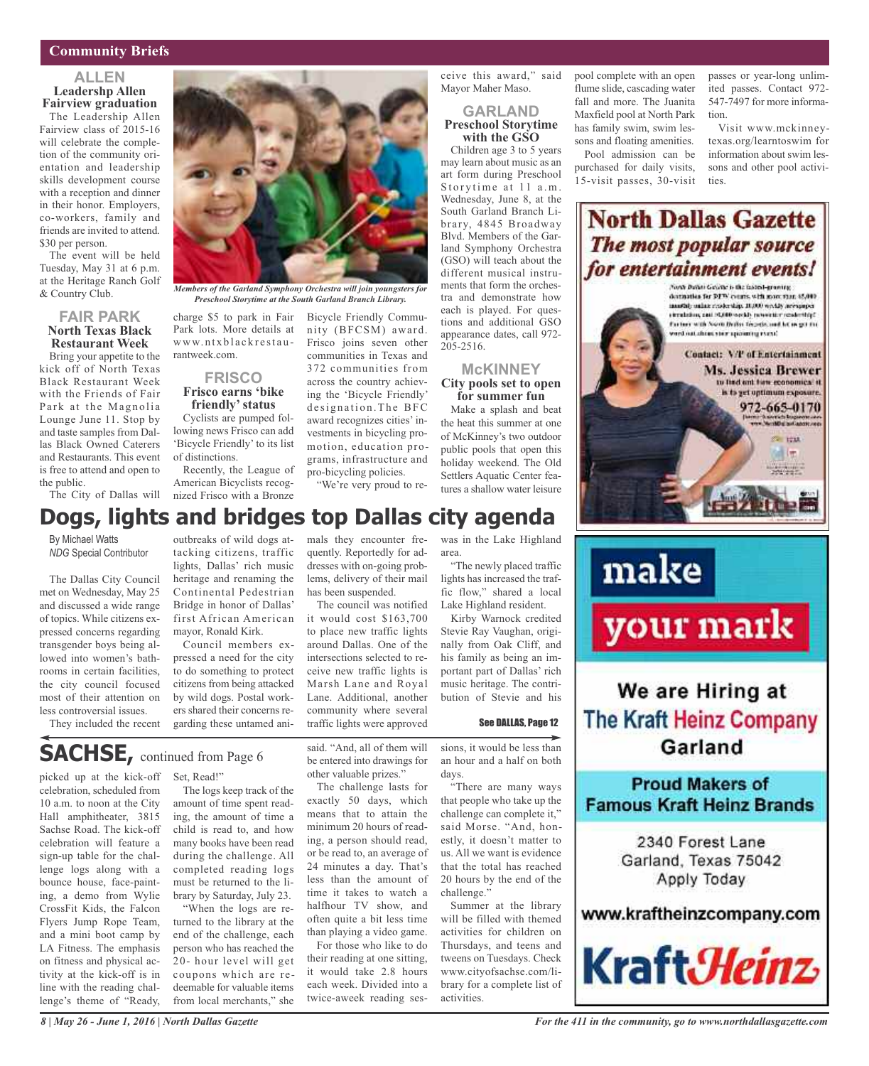## **Community Briefs**

## **ALLEN Leadershp Allen Fairview graduation**

The Leadership Allen Fairview class of 2015-16 will celebrate the completion of the community orientation and leadership skills development course with a reception and dinner in their honor. Employers, co-workers, family and friends are invited to attend. \$30 per person.

The event will be held Tuesday, May 31 at 6 p.m. at the Heritage Ranch Golf & Country Club.

### **FAIR PARK North Texas Black Restaurant Week**

Bring your appetite to the kick off of North Texas Black Restaurant Week with the Friends of Fair Park at the Magnolia Lounge June 11. Stop by and taste samples from Dallas Black Owned Caterers and Restaurants. This event is free to attend and open to the public.

The City of Dallas will nized Frisco with a Bronze

By Michael Watts *NDG* Special Contributor

The Dallas City Council met on Wednesday, May 25 and discussed a wide range of topics. While citizens expressed concerns regarding transgender boys being allowed into women's bathrooms in certain facilities, the city council focused most of their attention on less controversial issues.

They included the recent



*Members of the Garland Symphony Orchestra will join youngsters for Preschool Storytime at the South Garland Branch Library.*

charge \$5 to park in Fair Park lots. More details at www.ntxblackrestaurantweek.com.

#### **FRISCO Frisco earns 'bike friendly'status**

Cyclists are pumped following news Frisco can add 'Bicycle Friendly' to its list of distinctions.

Recently, the League of American Bicyclists recogBicycle Friendly Community (BFCSM) award. Frisco joins seven other communities in Texas and 372 communities from across the country achieving the 'Bicycle Friendly' designation. The BFC award recognizes cities' investments in bicycling promotion, education programs, infrastructure and pro-bicycling policies.

"We're very proud to re-

## **Dogs, lights and bridges top Dallas city agenda**

outbreaks of wild dogs attacking citizens, traffic lights, Dallas' rich music heritage and renaming the Continental Pedestrian Bridge in honor of Dallas' first African American mayor, Ronald Kirk.

Council members expressed a need for the city to do something to protect citizens from being attacked by wild dogs. Postal workers shared their concerns regarding these untamed ani-

mals they encounter frequently. Reportedly for addresses with on-going problems, delivery of their mail has been suspended.

The council was notified it would cost \$163,700 to place new traffic lights around Dallas. One of the intersections selected to receive new traffic lights is Marsh Lane and Royal Lane. Additional, another community where several traffic lights were approved

was in the Lake Highland area. "The newly placed traffic

**McKINNEY**

**for summer fun**

 $205 - 2516$ .

ceive this award," said Mayor Maher Maso.

**GARLAND Preschool Storytime with the GSO** Children age 3 to 5 years may learn about music as an art form during Preschool Storytime at 11 a.m. Wednesday, June 8, at the

lights has increased the traffic flow," shared a local Lake Highland resident.

Kirby Warnock credited Stevie Ray Vaughan, originally from Oak Cliff, and his family as being an important part of Dallas' rich music heritage. The contribution of Stevie and his

#### See DALLAS, Page 12

flume slide, cascading water fall and more. The Juanita Maxfield pool at North Park has family swim, swim lessons and floating amenities.

pool complete with an open

Pool admission can be purchased for daily visits, 15-visit passes, 30-visit passes or year-long unlimited passes. Contact 972- 547-7497 for more information.

Visit www.mckinneytexas.org/learntoswim for information about swim lessons and other pool activities.



# your mark

## We are Hiring at The Kraft Heinz Company Garland

**Proud Makers of Famous Kraft Heinz Brands** 

> 2340 Forest Lane Garland, Texas 75042 Apply Today

www.kraftheinzcompany.com



**SACHSE,** continued from Page <sup>6</sup>

picked up at the kick-off celebration, scheduled from 10 a.m. to noon at the City Hall amphitheater, 3815 Sachse Road. The kick-off celebration will feature a sign-up table for the challenge logs along with a bounce house, face-painting, a demo from Wylie CrossFit Kids, the Falcon Flyers Jump Rope Team, and a mini boot camp by LA Fitness. The emphasis on fitness and physical activity at the kick-off is in line with the reading challenge's theme of "Ready,

Set, Read!"

The logs keep track of the amount of time spent reading, the amount of time a child is read to, and how many books have been read during the challenge. All completed reading logs must be returned to the library by Saturday, July 23.

"When the logs are returned to the library at the end of the challenge, each person who has reached the 20- hour level will get coupons which are redeemable for valuable items from local merchants," she said. "And, all of them will be entered into drawings for other valuable prizes."

The challenge lasts for exactly 50 days, which means that to attain the minimum 20 hours of reading, a person should read, or be read to, an average of 24 minutes a day. That's less than the amount of time it takes to watch a halfhour TV show, and often quite a bit less time than playing a video game.

For those who like to do their reading at one sitting, it would take 2.8 hours each week. Divided into a twice-aweek reading sessions, it would be less than an hour and a half on both days.

"There are many ways that people who take up the challenge can complete it," said Morse. "And, honestly, it doesn't matter to us. All we want is evidence that the total has reached 20 hours by the end of the challenge."

Summer at the library will be filled with themed activities for children on Thursdays, and teens and tweens on Tuesdays. Check www.cityofsachse.com/library for a complete list of activities.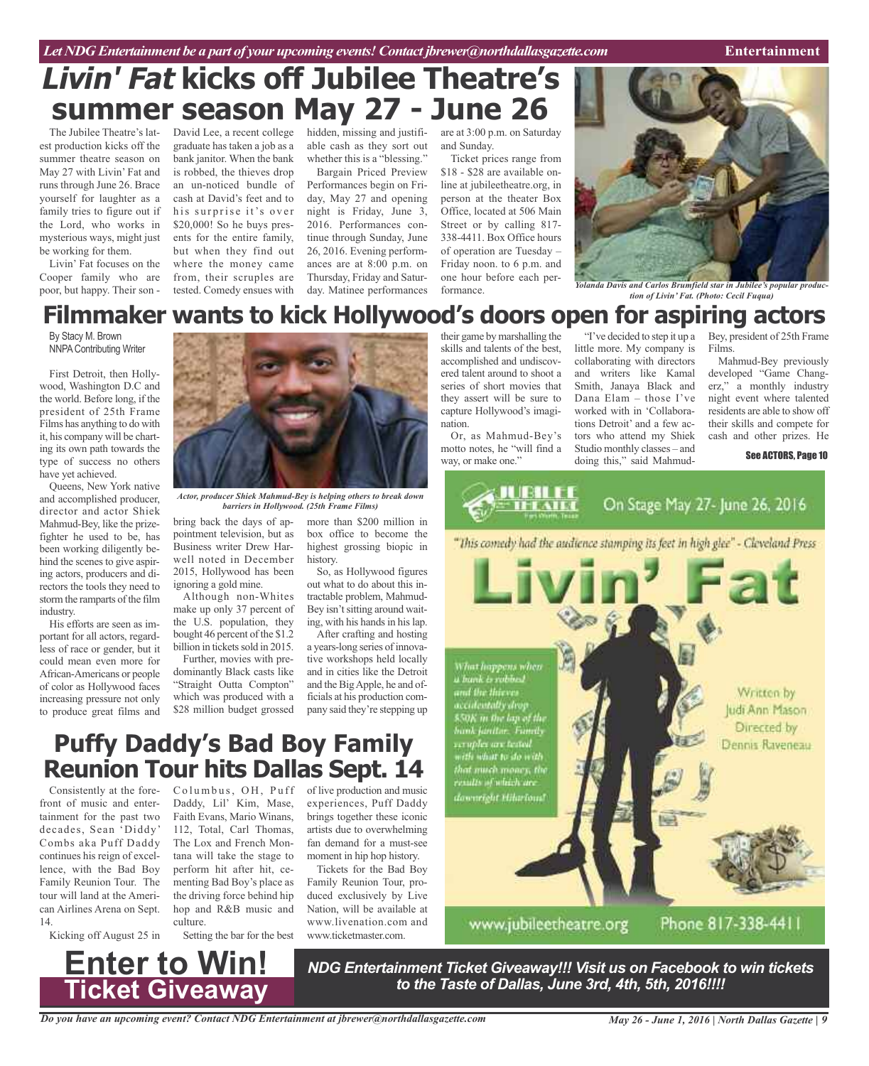## **Livin' Fat kicks off Jubilee Theatre's summer season May 27 - June 26**

est production kicks off the summer theatre season on May 27 with Livin' Fat and runs through June 26. Brace yourself for laughter as a family tries to figure out if the Lord, who works in mysterious ways, might just be working for them.

Livin' Fat focuses on the Cooper family who are poor, but happy. Their son -

The Jubilee Theatre's lat-David Lee, a recent college hidden, missing and justifi-are at 3:00 p.m. on Saturday graduate has taken a job as a bank janitor. When the bank is robbed, the thieves drop an un-noticed bundle of cash at David's feet and to his surprise it's over \$20,000! So he buys presents for the entire family, but when they find out where the money came from, their scruples are tested. Comedy ensues with

able cash as they sort out whether this is a "blessing."

Bargain Priced Preview Performances begin on Friday, May 27 and opening night is Friday, June 3, 2016. Performances continue through Sunday, June 26, 2016. Evening performances are at 8:00 p.m. on Thursday, Friday and Saturday. Matinee performances

and Sunday.

Ticket prices range from \$18 - \$28 are available online at jubileetheatre.org, in person at the theater Box Office, located at 506 Main Street or by calling 817- 338-4411. Box Office hours of operation are Tuesday – Friday noon. to 6 p.m. and one hour before each performance.



*Yolanda Davis and Carlos Brumfield star in Jubilee's popular production of Livin' Fat. (Photo: Cecil Fuqua)*

## **Filmmaker wants to kick Hollywood's doors open for aspiring actors**

By Stacy M. Brown NNPAContributing Writer

First Detroit, then Hollywood, Washington D.C and the world. Before long, if the president of 25th Frame Films has anything to do with it, his company will be charting its own path towards the type of success no others have yet achieved.

Queens, New York native and accomplished producer, director and actor Shiek Mahmud-Bey, like the prizefighter he used to be, has been working diligently behind the scenes to give aspiring actors, producers and directors the tools they need to storm the ramparts of the film industry.

His efforts are seen as important for all actors, regardless of race or gender, but it could mean even more for African-Americans or people of color as Hollywood faces increasing pressure not only to produce great films and



*Actor, producer Shiek Mahmud-Bey is helping others to break down barriers in Hollywood. (25th Frame Films)*

bring back the days of appointment television, but as Business writer Drew Harwell noted in December 2015, Hollywood has been ignoring a gold mine.

Although non-Whites make up only 37 percent of the U.S. population, they bought 46 percent of the \$1.2 billion in tickets sold in 2015.

Further, movies with predominantly Black casts like "Straight Outta Compton" which was produced with a \$28 million budget grossed

more than \$200 million in box office to become the highest grossing biopic in history.

So, as Hollywood figures out what to do about this intractable problem, Mahmud-Bey isn't sitting around waiting, with his hands in his lap.

After crafting and hosting a years-long series of innovative workshops held locally and in cities like the Detroit and the BigApple, he and officials at his production company said they're stepping up

## **Puffy Daddy's Bad Boy Family Reunion Tour hits Dallas Sept. 14**

front of music and entertainment for the past two decades, Sean 'Diddy' Combs aka Puff Daddy continues his reign of excellence, with the Bad Boy Family Reunion Tour. The tour will land at the American Airlines Arena on Sept. 14.

Kicking off August 25 in

**Enter to Win!**

**Ticket Giveaway**

Daddy, Lil' Kim, Mase, Faith Evans, Mario Winans, 112, Total, Carl Thomas, The Lox and French Montana will take the stage to perform hit after hit, cementing Bad Boy's place as the driving force behind hip hop and R&B music and culture.

Setting the bar for the best

Consistently at the fore- Columbus, OH, Puff of live production and music experiences, Puff Daddy brings together these iconic artists due to overwhelming fan demand for a must-see moment in hip hop history.

> Tickets for the Bad Boy Family Reunion Tour, produced exclusively by Live Nation, will be available at www.livenation.com.and www.ticketmaster.com.

their game by marshalling the skills and talents of the best, accomplished and undiscovered talent around to shoot a series of short movies that they assert will be sure to capture Hollywood's imagination.

Or, as Mahmud-Bey's motto notes, he "will find a way, or make one."

"I've decided to step it up a little more. My company is collaborating with directors and writers like Kamal Smith, Janaya Black and Dana Elam – those I've worked with in 'Collaborations Detroit' and a few actors who attend my Shiek Studio monthly classes – and doing this," said Mahmud-

Bey, president of 25th Frame Films.

Mahmud-Bey previously developed "Game Changerz," a monthly industry night event where talented residents are able to show off their skills and compete for cash and other prizes. He

#### See ACTORS, Page 10



Phone 817-338-4411

*NDG Entertainment Ticket Giveaway!!! Visit us on Facebook to win tickets to the Taste of Dallas, June 3rd, 4th, 5th, 2016!!!!*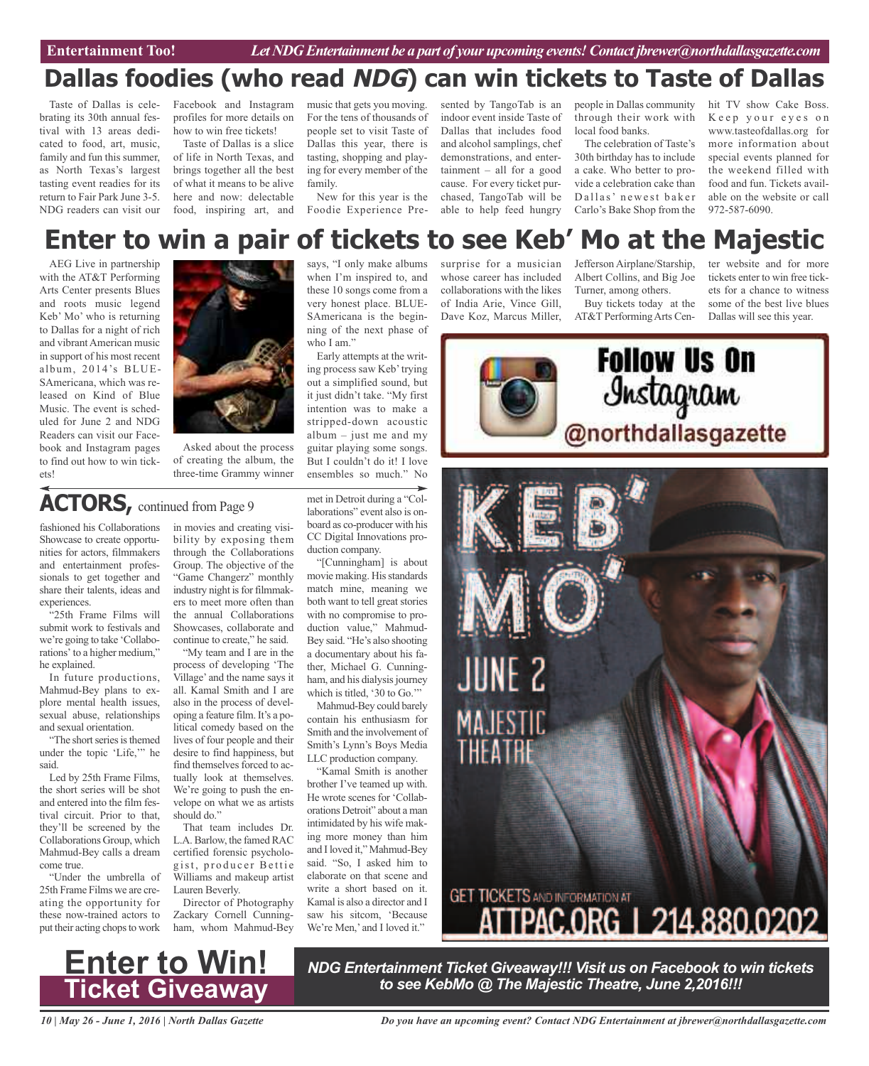## **Dallas foodies (who read NDG) can win tickets to Taste of Dallas**

Taste of Dallas is celebrating its 30th annual festival with 13 areas dedicated to food, art, music, family and fun this summer, as North Texas's largest tasting event readies for its return to Fair Park June 3-5. NDG readers can visit our

Facebook and Instagram profiles for more details on how to win free tickets!

Taste of Dallas is a slice of life in North Texas, and brings together all the best of what it means to be alive here and now: delectable food, inspiring art, and music that gets you moving. For the tens of thousands of people set to visit Taste of Dallas this year, there is tasting, shopping and playing for every member of the family.

New for this year is the Foodie Experience Pre-

when I'm inspired to, and these 10 songs come from a very honest place. BLUE-SAmericana is the beginning of the next phase of

Early attempts at the writing process saw Keb'trying out a simplified sound, but it just didn't take. "My first

who I am."

sented by TangoTab is an indoor event inside Taste of Dallas that includes food and alcohol samplings, chef demonstrations, and entertainment – all for a good cause. For every ticket purchased, TangoTab will be able to help feed hungry

people in Dallas community through their work with local food banks.

The celebration of Taste's 30th birthday has to include a cake. Who better to provide a celebration cake than Dallas' newest baker Carlo's Bake Shop from the

hit TV show Cake Boss. Keep your eyes on www.tasteofdallas.org for more information about special events planned for the weekend filled with food and fun. Tickets available on the website or call 972-587-6090.

## says, "I only make albums **Enter to win a pair of tickets to see Keb' Mo at the Majestic**

AEG Live in partnership with the AT&T Performing Arts Center presents Blues and roots music legend Keb' Mo' who is returning to Dallas for a night of rich and vibrant American music in support of his most recent album, 2014's BLUE-SAmericana, which was released on Kind of Blue Music. The event is scheduled for June 2 and NDG Readers can visit our Facebook and Instagram pages to find out how to win tickets!



Asked about the process of creating the album, the three-time Grammy winner

## ACTORS, continued from Page 9

fashioned his Collaborations Showcase to create opportunities for actors, filmmakers and entertainment professionals to get together and share their talents, ideas and experiences.

"25th Frame Films will submit work to festivals and we're going to take 'Collaborations' to a higher medium," he explained.

In future productions, Mahmud-Bey plans to explore mental health issues, sexual abuse, relationships and sexual orientation.

"The short series is themed under the topic 'Life,'" he said.

Led by 25th Frame Films, the short series will be shot and entered into the film festival circuit. Prior to that, they'll be screened by the Collaborations Group, which Mahmud-Bey calls a dream come true.

"Under the umbrella of 25th Frame Films we are creating the opportunity for these now-trained actors to put their acting chops to work

in movies and creating visibility by exposing them through the Collaborations Group. The objective of the "Game Changerz" monthly industry night is for filmmakers to meet more often than the annual Collaborations Showcases, collaborate and continue to create," he said.

"My team and I are in the process of developing 'The Village' and the name says it all. Kamal Smith and I are also in the process of developing a feature film. It's a political comedy based on the lives of four people and their desire to find happiness, but find themselves forced to actually look at themselves. We're going to push the envelope on what we as artists should do."

That team includes Dr. L.A. Barlow, the famed RAC certified forensic psychologist, producer Bettie Williams and makeup artist Lauren Beverly.

Director of Photography Zackary Cornell Cunningham, whom Mahmud-Bey

intention was to make a stripped-down acoustic album  $-$  just me and my guitar playing some songs. But I couldn't do it! I love ensembles so much." No

met in Detroit during a "Collaborations" event also is onboard as co-producer with his CC Digital Innovations production company.

"[Cunningham] is about movie making. His standards match mine, meaning we both want to tell great stories with no compromise to production value," Mahmud-Bey said. "He's also shooting a documentary about his father, Michael G. Cunningham, and his dialysis journey which is titled, '30 to Go."

Mahmud-Bey could barely contain his enthusiasm for Smith and the involvement of Smith's Lynn's Boys Media LLC production company.

"Kamal Smith is another brother I've teamed up with. He wrote scenes for 'Collaborations Detroit" about a man intimidated by his wife making more money than him and Iloved it," Mahmud-Bey said. "So, I asked him to elaborate on that scene and write a short based on it. Kamal is also a director and I saw his sitcom, 'Because We're Men,' and I loved it."

surprise for a musician whose career has included collaborations with the likes of India Arie, Vince Gill, Dave Koz, Marcus Miller,

Jefferson Airplane/Starship, Albert Collins, and Big Joe Turner, among others.

Buy tickets today at the AT&T PerformingArts Cen-

ter website and for more tickets enter to win free tickets for a chance to witness some of the best live blues Dallas will see this year.



**Enter to Win! Ticket Giveaway**

*NDG Entertainment Ticket Giveaway!!! Visit us on Facebook to win tickets to see KebMo @ The Majestic Theatre, June 2,2016!!!*

*10 | May 26 - June 1, 2016 | North Dallas Gazette*

*Do you have an upcoming event? Contact NDG Entertainment at jbrewer@northdallasgazette.com*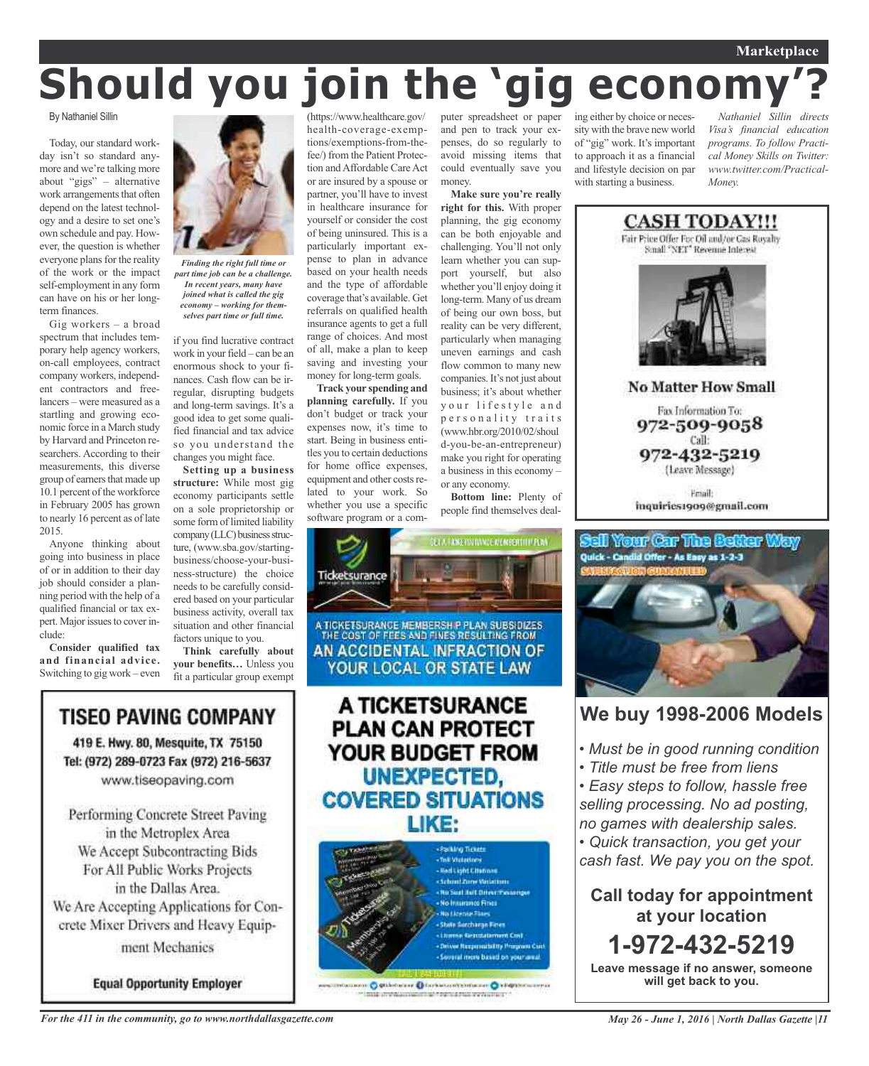# **Should you join the 'gig economy'?**

By Nathaniel Sillin

Today, our standard workday isn't so standard anymore and we're talking more about "gigs" – alternative work arrangements that often depend on the latest technology and a desire to set one's own schedule and pay. However, the question is whether everyone plans for the reality of the work or the impact self-employment in any form can have on his or her longterm finances.

Gig workers – a broad spectrum that includes temporary help agency workers, on-call employees, contract company workers, independent contractors and freelancers – were measured as a startling and growing economic force in a March study by Harvard and Princeton researchers. According to their measurements, this diverse group of earners that made up 10.1 percent of the workforce in February 2005 has grown to nearly 16 percent as of late 2015.

Anyone thinking about going into business in place of or in addition to their day job should consider a planning period with the help of a qualified financial or tax expert. Major issues to cover include:

**Consider qualified tax and financial advice.** Switching to gig work – even



*Finding the right full time or part time job can be a challenge. In recent years, many have joined what is called the gig economy – working for themselves part time or full time.*

if you find lucrative contract work in your field – can be an enormous shock to your finances. Cash flow can be irregular, disrupting budgets and long-term savings. It's a good idea to get some qualified financial and tax advice so you understand the changes you might face.

**Setting up a business structure:** While most gig economy participants settle on a sole proprietorship or some form of limited liability company (LLC) business structure, (www.sba.gov/startingbusiness/choose-your-business-structure) the choice needs to be carefully considered based on your particular business activity, overall tax situation and other financial factors unique to you.

**Think carefully about your benefits…** Unless you fit a particular group exempt

TISEO PAVING COMPANY 419 E. Hwy. 80, Mesquite, TX 75150 Tel: (972) 289-0723 Fax (972) 216-5637 www.tiseopaving.com

Performing Concrete Street Paving in the Metroplex Area We Accept Subcontracting Bids For All Public Works Projects in the Dallas Area. We Are Accepting Applications for Concrete Mixer Drivers and Heavy Equipment Mechanics

**Equal Opportunity Employer** 

(https://www.healthcare.gov/ health-coverage-exemptions/exemptions-from-thefee/) from the Patient Protection and Affordable Care Act or are insured by a spouse or partner, you'll have to invest in healthcare insurance for yourself or consider the cost of being uninsured. This is a particularly important expense to plan in advance based on your health needs and the type of affordable coverage that's available. Get referrals on qualified health insurance agents to get a full range of choices. And most of all, make a plan to keep saving and investing your money for long-term goals.

**Track your spending and planning carefully.** If you don't budget or track your expenses now, it's time to start. Being in business entitles you to certain deductions for home office expenses, equipment and other costs related to your work. So whether you use a specific software program or a com-

puter spreadsheet or paper and pen to track your expenses, do so regularly to avoid missing items that could eventually save you money.

**Make sure you're really right for this.** With proper planning, the gig economy can be both enjoyable and challenging. You'll not only learn whether you can support yourself, but also whether you'll enjoy doing it long-term. Many of us dream of being our own boss, but reality can be very different, particularly when managing uneven earnings and cash flow common to many new companies. It's not just about business; it's about whether your lifestyle and p e r s o n a lity traits (www.hbr.org/2010/02/shoul d-you-be-an-entrepreneur) make you right for operating a business in this economy – or any economy.

**Bottom line:** Plenty of people find themselves deal-





ing either by choice or necessity with the brave new world of "gig" work. It's important to approach it as a financial and lifestyle decision on par with starting a business.

*Nathaniel Sillin directs Visa's financial education programs. To follow Practical Money Skills on Twitter: www.twitter.com/Practical-Money.*





## **We buy 1998-2006 Models**

- *• Must be in good running condition*
- *• Title must be free from liens*

*• Easy steps to follow, hassle free selling processing. No ad posting, no games with dealership sales. • Quick transaction, you get your cash fast. We pay you on the spot.*

**Call today for appointment at your location 1-972-432-5219 Leave message if no answer, someone will get back to you.**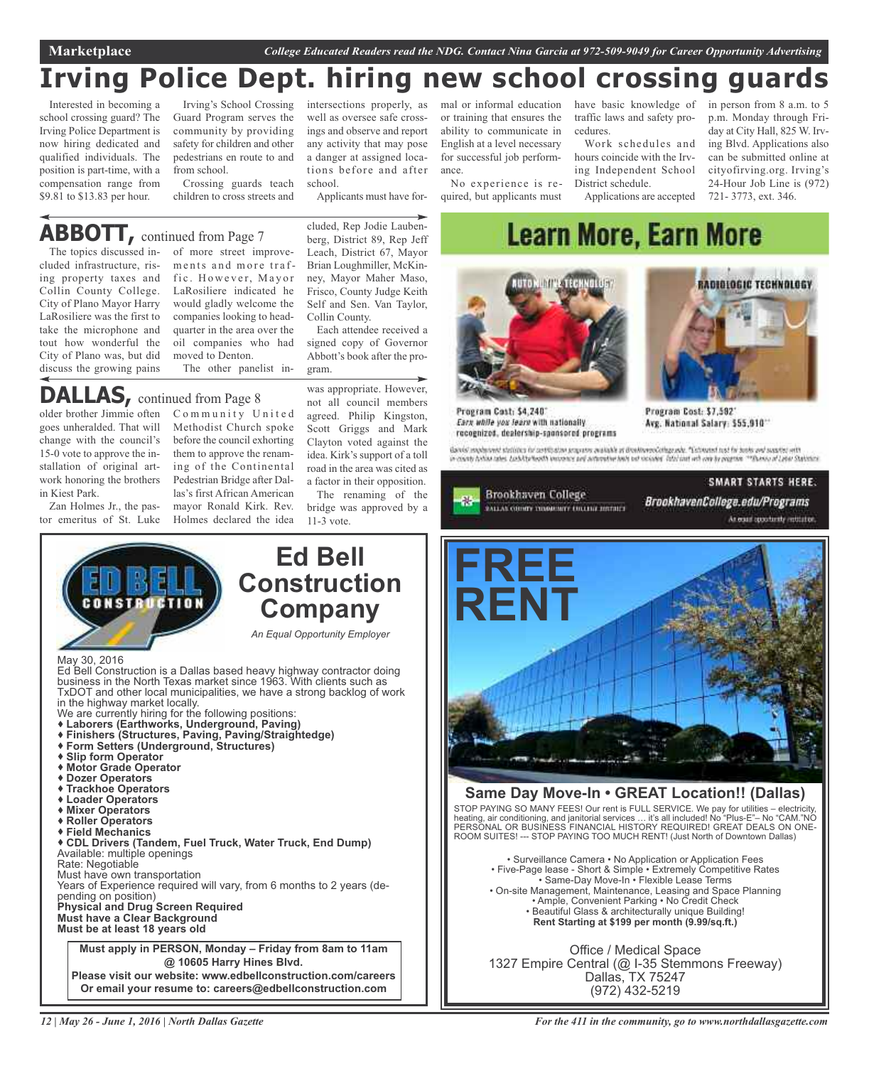## **Irving Police Dept. hiring new school crossing guards**

Interested in becoming a school crossing guard? The Irving Police Department is now hiring dedicated and qualified individuals. The position is part-time, with a compensation range from \$9.81 to \$13.83 per hour.

Irving's School Crossing Guard Program serves the community by providing safety for children and other pedestrians en route to and from school.

Crossing guards teach children to cross streets and

## **ABBOTT,** continued from Page <sup>7</sup>

The topics discussed included infrastructure, rising property taxes and Collin County College. City of Plano Mayor Harry LaRosiliere was the first to take the microphone and tout how wonderful the City of Plano was, but did discuss the growing pains

of more street improvements and more traffic. However, Mayor LaRosiliere indicated he would gladly welcome the companies looking to headquarter in the area over the oil companies who had moved to Denton. The other panelist in-

## **DALLAS,** continued from Page <sup>8</sup>

older brother Jimmie often Community United goes unheralded. That will change with the council's 15-0 vote to approve the installation of original artwork honoring the brothers in Kiest Park.

Zan Holmes Jr., the pastor emeritus of St. Luke

Methodist Church spoke before the council exhorting them to approve the renaming of the Continental Pedestrian Bridge after Dallas's first African American mayor Ronald Kirk. Rev. Holmes declared the idea was appropriate. However, not all council members agreed. Philip Kingston, Scott Griggs and Mark Clayton voted against the idea. Kirk's support of a toll road in the area was cited as

Each attendee received a signed copy of Governor Abbott's book after the pro-

cluded, Rep Jodie Laubenberg, District 89, Rep Jeff Leach, District 67, Mayor Brian Loughmiller, McKinney, Mayor Maher Maso, Frisco, County Judge Keith Self and Sen. Van Taylor,

Applicants must have for-

intersections properly, as well as oversee safe crossings and observe and report any activity that may pose a danger at assigned locations before and after

Collin County.

The renaming of the bridge was approved by a

or training that ensures the ability to communicate in English at a level necessary for successful job performance.

No experience is required, but applicants must

mal or informal education have basic knowledge of in person from 8 a.m. to 5 traffic laws and safety procedures.

Work schedules and hours coincide with the Irving Independent School District schedule.

Applications are accepted

p.m. Monday through Friday at City Hall, 825 W. Irving Blvd. Applications also can be submitted online at cityofirving.org. Irving's 24-Hour Job Line is (972) 721- 3773, ext. 346.

## **Learn More, Earn More**



Program Cost: \$4,240\* Earx while you learn with nationally recognized, dealership-spansored programs



Program Cost: \$7,592 Avg. National Salary: \$55,910\*

Ganisi englesved stations in antibaten propres austable at BrekkenoCollegyade. "Categori mat in bola ant saaded witt<br>In county behin rates Ladvitprieath incomer peil automatee hels od vocader. Istal ant wit and by program





## **Same Day Move-In • GREAT Location!! (Dallas)**

STOP PAYING SO MANY FEES! Our rent is FULL SERVICE. We pay for utilities – electricity, heating, air conditioning, and janitorial services … it's all included! No "Plus-E"– No "CAM."NO PERSONAL OR BUSINESS FINANCIAL HISTORY REQUIRED! GREAT DEALS ON ONE-ROOM SUITES! --- STOP PAYING TOO MUCH RENT! (Just North of Downtown Dallas)

• Surveillance Camera • No Application or Application Fees • Five-Page lease - Short & Simple • Extremely Competitive Rates • Same-Day Move-In • Flexible Lease Terms • On-site Management, Maintenance, Leasing and Space Planning • Ample, Convenient Parking • No Credit Check • Beautiful Glass & architecturally unique Building! **Rent Starting at \$199 per month (9.99/sq.ft.)**

Office / Medical Space 1327 Empire Central (@ I-35 Stemmons Freeway) Dallas, TX 75247 (972) 432-5219

#### May 30, 2016 Ed Bell Construction is a Dallas based heavy highway contractor doing business in the North Texas market since 1963. With clients such as TxDOT and other local municipalities, we have a strong backlog of work we are currently hiring for the following positions: **Laborers (Earthworks, Underground, Paving) Finishers (Structures, Paving, Paving/Straightedge) Form Setters (Underground, Structures) Slip form Operator Motor Grade Operator Dozer Operators Trackhoe Operators Loader Operators Mixer Operators Roller Operators Field Mechanics CDL Drivers (Tandem, Fuel Truck, Water Truck, End Dump)** Available: multiple openings Rate: Negotiable Must have own transportation Years of Experience required will vary, from 6 months to 2 years (depending on position) **Physical and Drug Screen Required Must have a Clear Background Must be at least 18 years old Construction Company** *An Equal Opportunity Employer* **Must apply in PERSON, Monday – Friday from 8am to 11am @ 10605 Harry Hines Blvd. Please visit our website: www.edbellconstruction.com/careers Or email your resume to: careers@edbellconstruction.com**

*12 | May 26 - June 1, 2016 | North Dallas Gazette*

a factor in their opposition. 11-3 vote.

**Ed Bell**

gram.

school.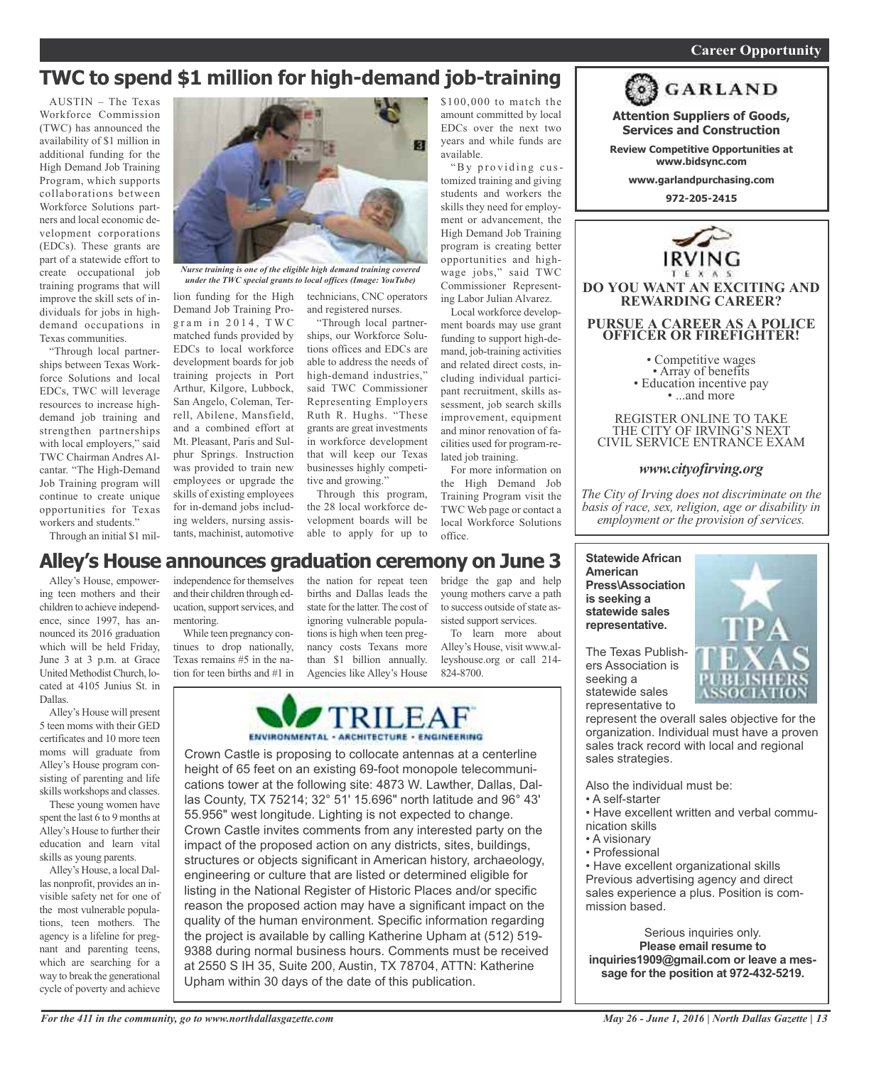### *On a quest for qualified candidates? Contact Nina Garcia at 972-509-9049* **Career Opportunity**

## **TWC to spend \$1 million for high-demand job-training**

AUSTIN – The Texas Workforce Commission (TWC) has announced the availability of \$1 million in additional funding for the High Demand Job Training Program, which supports collaborations between Workforce Solutions partners and local economic development corporations (EDCs). These grants are part of a statewide effort to create occupational job training programs that will improve the skill sets of individuals for jobs in highdemand occupations in Texas communities.

"Through local partnerships between Texas Workforce Solutions and local EDCs, TWC will leverage resources to increase highdemand job training and strengthen partnerships with local employers," said TWC Chairman Andres Alcantar. "The High-Demand Job Training program will continue to create unique opportunities for Texas workers and students."

Through an initial \$1 mil-



*Nurse training is one of the eligible high demand training covered under the TWC special grants to local offices (Image: YouTube)*

Demand Job Training Program in 2014, TWC matched funds provided by EDCs to local workforce development boards for job training projects in Port Arthur, Kilgore, Lubbock, San Angelo, Coleman, Terrell, Abilene, Mansfield, and a combined effort at Mt. Pleasant, Paris and Sulphur Springs. Instruction was provided to train new employees or upgrade the skills of existing employees for in-demand jobs including welders, nursing assistants, machinist, automotive

lion funding for the High technicians, CNC operators and registered nurses.

> "Through local partnerships, our Workforce Solutions offices and EDCs are able to address the needs of high-demand industries," said TWC Commissioner Representing Employers Ruth R. Hughs. "These grants are great investments in workforce development that will keep our Texas businesses highly competitive and growing."

Through this program, the 28 local workforce development boards will be able to apply for up to

\$100,000 to match the amount committed by local EDCs over the next two years and while funds are available.

"By providing customized training and giving students and workers the skills they need for employment or advancement, the High Demand Job Training program is creating better opportunities and highwage jobs," said TWC Commissioner Representing Labor Julian Alvarez.

Local workforce development boards may use grant funding to support high-demand, job-training activities and related direct costs, including individual participant recruitment, skills assessment, job search skills improvement, equipment and minor renovation of facilities used for program-related job training.

For more information on the High Demand Job Training Program visit the TWC Web page or contact a local Workforce Solutions office.

bridge the gap and help young mothers carve a path to success outside of state assisted support services. To learn more about Alley's House, visit www.alleyshouse.org or call 214-

824-8700.



**Attention Suppliers of Goods, Services and Construction**

**Review Competitive Opportunities at www.bidsync.com**

**www.garlandpurchasing.com**

**972-205-2415**



REGISTER ONLINE TO TAKE THE CITY OF IRVING'S NEXT CIVIL SERVICE ENTRANCE EXAM

### *www.cityofirving.org*

*The City of Irving does not discriminate on the basis of race, sex, religion, age or disability in employment or the provision of services.*

**Statewide African American Press\Association is seeking a statewide sales representative.**

The Texas Publishers Association is seeking a statewide sales representative to



represent the overall sales objective for the organization. Individual must have a proven sales track record with local and regional sales strategies.

Also the individual must be:

- A self-starter
- Have excellent written and verbal communication skills
- A visionary
- Professional

• Have excellent organizational skills Previous advertising agency and direct sales experience a plus. Position is commission based.

Serious inquiries only. **Please email resume to inquiries1909@gmail.com or leave a message for the position at 972-432-5219.**

## **Alley's House announces graduation ceremony on June 3**

Alley's House, empowering teen mothers and their children to achieve independence, since 1997, has announced its 2016 graduation which will be held Friday, June 3 at 3 p.m. at Grace United MethodistChurch, located at 4105 Junius St. in Dallas.

Alley's House will present 5 teen moms with their GED certificates and 10 more teen moms will graduate from Alley's House program consisting of parenting and life skills workshops and classes.

These young women have spent the last 6 to 9 months at Alley's House to further their education and learn vital skills as young parents.

Alley's House, a local Dallas nonprofit, provides an invisible safety net for one of the most vulnerable populations, teen mothers. The agency is a lifeline for pregnant and parenting teens, which are searching for a way to break the generational cycle of poverty and achieve

independence for themselves and their children through education, support services, and mentoring.

While teen pregnancy continues to drop nationally, Texas remains #5 in the nation for teen births and #1 in the nation for repeat teen births and Dallas leads the state for the latter.The cost of ignoring vulnerable populations is high when teen pregnancy costs Texans more than \$1 billion annually. Agencies like Alley's House

TRILEA ENVIRONMENTAL - ARCHITECTURE - ENGINEERING

Crown Castle is proposing to collocate antennas at a centerline height of 65 feet on an existing 69-foot monopole telecommunications tower at the following site: 4873 W. Lawther, Dallas, Dallas County, TX 75214; 32° 51' 15.696" north latitude and 96° 43' 55.956" west longitude. Lighting is not expected to change. Crown Castle invites comments from any interested party on the impact of the proposed action on any districts, sites, buildings, structures or objects significant in American history, archaeology, engineering or culture that are listed or determined eligible for listing in the National Register of Historic Places and/or specific reason the proposed action may have a significant impact on the quality of the human environment. Specific information regarding the project is available by calling Katherine Upham at (512) 519- 9388 during normal business hours. Comments must be received at 2550 S IH 35, Suite 200, Austin, TX 78704, ATTN: Katherine Upham within 30 days of the date of this publication.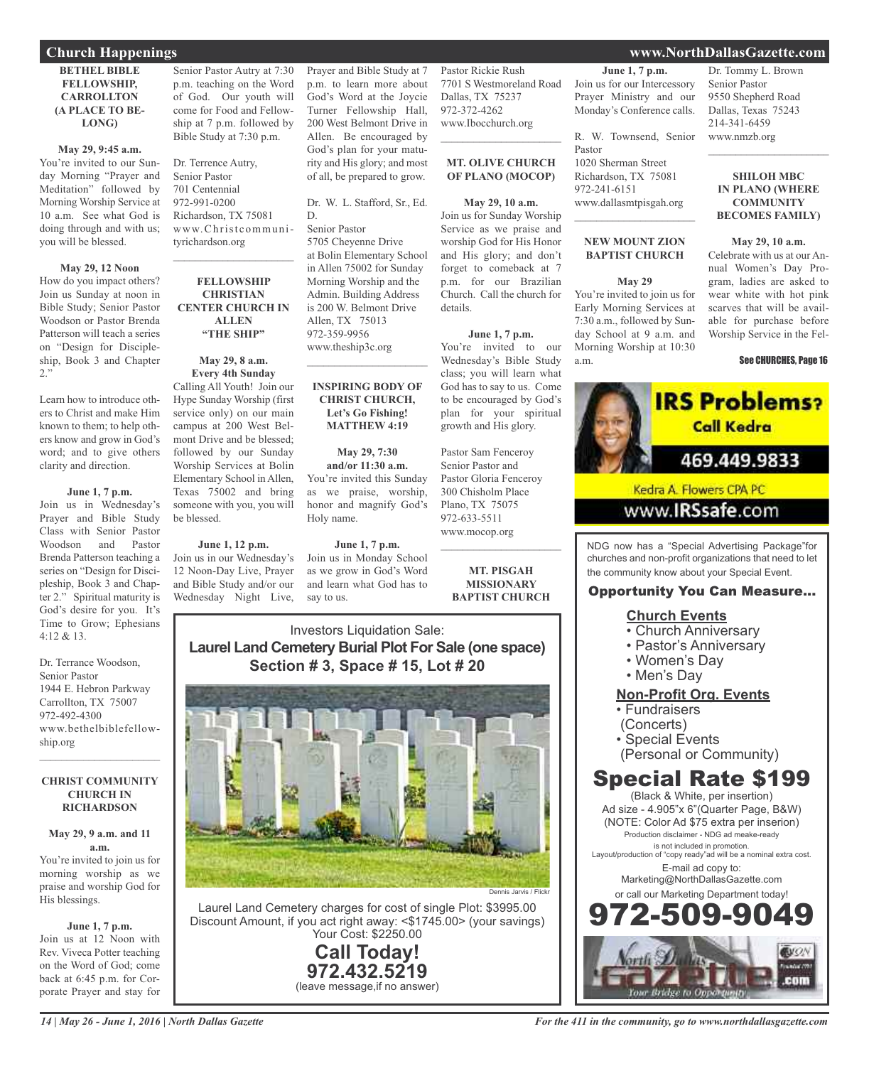#### **BETHEL BIBLE FELLOWSHIP, CARROLLTON (A PLACE TO BE-LONG)**

#### **May 29, 9:45 a.m.**

You're invited to our Sunday Morning "Prayer and Meditation" followed by Morning Worship Service at 10 a.m. See what God is doing through and with us; you will be blessed.

#### **May 29, 12 Noon**

How do you impact others? Join us Sunday at noon in Bible Study; Senior Pastor Woodson or Pastor Brenda Patterson will teach a series on "Design for Discipleship, Book 3 and Chapter 2."

Learn how to introduce others to Christ and make Him known to them; to help others know and grow in God's word; and to give others clarity and direction.

#### **June 1, 7 p.m.**

Join us in Wednesday's Prayer and Bible Study Class with Senior Pastor Woodson and Pastor Brenda Patterson teaching a series on "Design for Discipleship, Book 3 and Chapter 2." Spiritual maturity is God's desire for you. It's Time to Grow; Ephesians  $4.12 & 8.13$ 

Dr. Terrance Woodson, Senior Pastor 1944 E. Hebron Parkway Carrollton, TX 75007 972-492-4300 www.bethelbiblefellowship.org

#### **CHRIST COMMUNITY CHURCH IN RICHARDSON**

 $\mathcal{L}=\mathcal{L}^{\mathcal{L}}$  , where  $\mathcal{L}^{\mathcal{L}}$  , we have the set of the set of the set of the set of the set of the set of the set of the set of the set of the set of the set of the set of the set of the set of the set of

### **May 29, 9 a.m. and 11 a.m.**

You're invited to join us for morning worship as we praise and worship God for His blessings.

#### **June 1, 7 p.m.**

Join us at 12 Noon with Rev. Viveca Potter teaching on the Word of God; come back at 6:45 p.m. for Corporate Prayer and stay for

Senior Pastor Autry at 7:30 p.m. teaching on the Word of God. Our youth will come for Food and Fellowship at 7 p.m. followed by Bible Study at 7:30 p.m.

Dr. Terrence Autry, Senior Pastor 701 Centennial 972-991-0200 Richardson, TX 75081 www.Christcommunityrichardson.org

#### **FELLOWSHIP CHRISTIAN CENTER CHURCH IN ALLEN "THE SHIP"**

 $\mathcal{L}_\text{max}$  , which is a set of the set of the set of the set of the set of the set of the set of the set of the set of the set of the set of the set of the set of the set of the set of the set of the set of the set of

**May 29, 8 a.m. Every 4th Sunday** Calling All Youth! Join our Hype Sunday Worship (first service only) on our main campus at 200 West Belmont Drive and be blessed; followed by our Sunday Worship Services at Bolin

Elementary School in Allen, Texas 75002 and bring someone with you, you will be blessed.

## **June 1, 12 p.m.**

Join us in our Wednesday's 12 Noon-Day Live, Prayer and Bible Study and/or our Wednesday Night Live,

Prayer and Bible Study at 7 p.m. to learn more about God's Word at the Joycie Turner Fellowship Hall, 200 West Belmont Drive in Allen. Be encouraged by God's plan for your maturity and His glory; and most of all, be prepared to grow.

Dr. W. L. Stafford, Sr., Ed. D.

Senior Pastor 5705 Cheyenne Drive at Bolin Elementary School in Allen 75002 for Sunday Morning Worship and the Admin. Building Address is 200 W. Belmont Drive Allen, TX 75013 972-359-9956 www.theship3c.org

#### **INSPIRING BODY OF CHRIST CHURCH, Let's Go Fishing! MATTHEW 4:19**

 $\overline{\phantom{a}}$  , and the set of the set of the set of the set of the set of the set of the set of the set of the set of the set of the set of the set of the set of the set of the set of the set of the set of the set of the s

**May 29, 7:30 and/or 11:30 a.m.** You're invited this Sunday as we praise, worship, honor and magnify God's Holy name.

#### **June 1, 7 p.m.** Join us in Monday School as we grow in God's Word

say to us.

and learn what God has to 972-633-5511 www.mocop.org  $\mathcal{L}$  , and the set of the set of the set of the set of the set of the set of the set of the set of the set of the set of the set of the set of the set of the set of the set of the set of the set of the set of the set **MT. PISGAH**

details.

**MISSIONARY BAPTIST CHURCH**

## Investors Liquidation Sale: **Laurel Land Cemetery Burial Plot For Sale (one space) Section # 3, Space # 15, Lot # 20**



Laurel Land Cemetery charges for cost of single Plot: \$3995.00 Discount Amount, if you act right away: <\$1745.00> (your savings) Your Cost: \$2250.00

> **Call Today! 972.432.5219** (leave message,if no answer)

Pastor Rickie Rush 7701 S Westmoreland Road Dallas, TX 75237 972-372-4262 www.Ibocchurch.org **June 1, 7 p.m.** Join us for our Intercessory Prayer Ministry and our Monday's Conference calls.

**OF PLANO (MOCOP)**

**May 29, 10 a.m.** Join us for Sunday Worship Service as we praise and worship God for His Honor and His glory; and don't forget to comeback at 7 p.m. for our Brazilian Church. Call the church for

**June 1, 7 p.m.** You're invited to our Wednesday's Bible Study class; you will learn what God has to say to us. Come to be encouraged by God's plan for your spiritual growth and His glory.

Pastor Sam Fenceroy Senior Pastor and Pastor Gloria Fenceroy 300 Chisholm Place Plano, TX 75075

 $\mathcal{L}$  , and the set of the set of the set of the set of the set of the set of the set of the set of the set of the set of the set of the set of the set of the set of the set of the set of the set of the set of the set **MT. OLIVE CHURCH** R. W. Townsend, Senior Pastor

1020 Sherman Street Richardson, TX 75081 972-241-6151 www.dallasmtpisgah.org

## **NEW MOUNT ZION BAPTIST CHURCH**

 $\mathcal{L}_\text{max}$  , which is a set of the set of the set of the set of the set of the set of the set of the set of the set of the set of the set of the set of the set of the set of the set of the set of the set of the set of

#### **May 29**

You're invited to join us for Early Morning Services at 7:30 a.m., followed by Sunday School at 9 a.m. and Morning Worship at 10:30 a.m.

#### Dr. Tommy L. Brown Senior Pastor 9550 Shepherd Road Dallas, Texas 75243 214-341-6459 www.nmzb.org

#### **SHILOH MBC IN PLANO (WHERE COMMUNITY BECOMES FAMILY)**

 $\overline{\phantom{a}}$  , and the set of the set of the set of the set of the set of the set of the set of the set of the set of the set of the set of the set of the set of the set of the set of the set of the set of the set of the s

#### **May 29, 10 a.m.**

Celebrate with us at our Annual Women's Day Program, ladies are asked to wear white with hot pink scarves that will be available for purchase before Worship Service in the Fel-

#### See CHURCHES, Page 16



NDG now has a "Special Advertising Package"for churches and non-profit organizations that need to let the community know about your Special Event.

## Opportunity You Can Measure...

## **Church Events**

- Church Anniversary
- Pastor's Anniversary
- Women's Day
- Men's Day

## **Non-Profit Org. Events**

- Fundraisers
- (Concerts)
- Special Events
- (Personal or Community)

## Special Rate \$199

(Black & White, per insertion) Ad size - 4.905"x 6"(Quarter Page, B&W) (NOTE: Color Ad \$75 extra per inserion) Production disclaimer - NDG ad meake-ready is not included in promotion. Layout/production of "copy ready"ad will be a nominal extra cost. E-mail ad copy to: Marketing@NorthDallasGazette.com or call our Marketing Department today! 972-509-9049



## **Church Happenings www.NorthDallasGazette.com**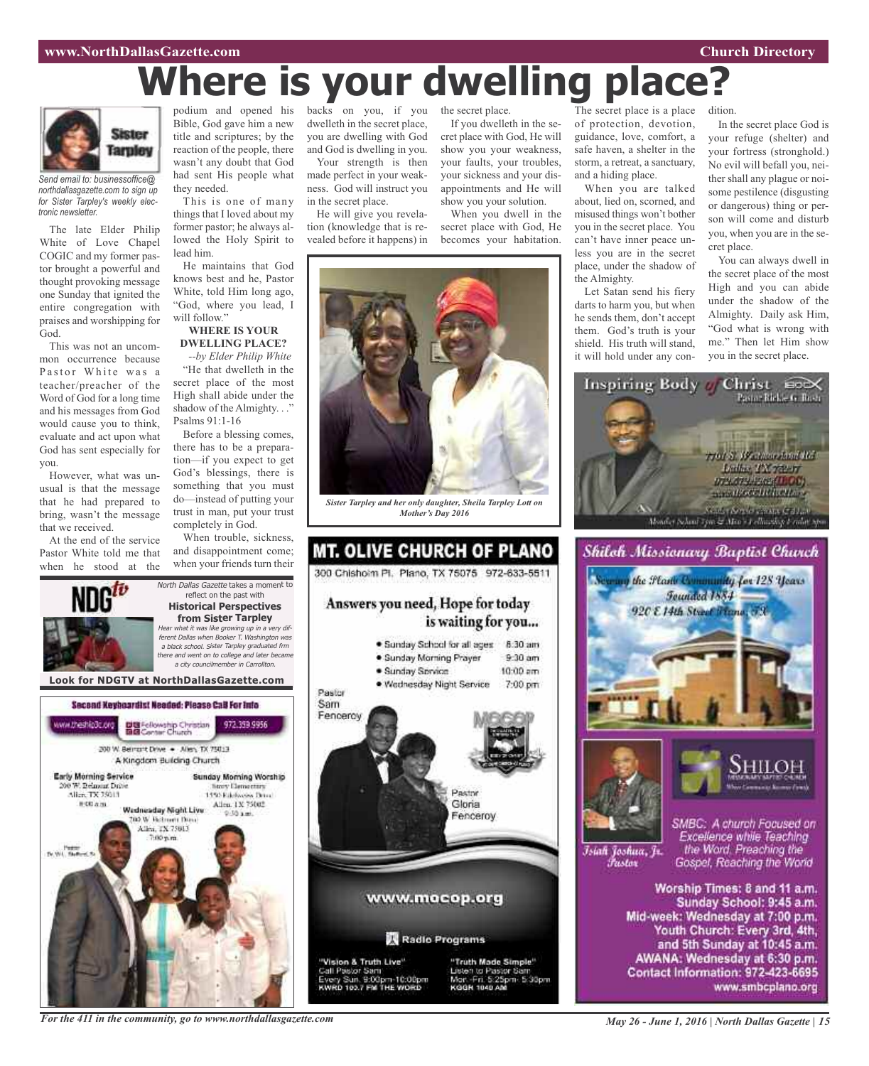#### **www.NorthDallasGazette.com Church Directory**

# **Where is your dwelling place?**



*Send email to: businessoffice@ northdallasgazette.com to sign up for Sister Tarpley's weekly electronic newsletter.*

The late Elder Philip White of Love Chapel COGIC and my former pastor brought a powerful and thought provoking message one Sunday that ignited the entire congregation with praises and worshipping for God.

This was not an uncommon occurrence because Pastor White was a teacher/preacher of the Word of God for a long time and his messages from God would cause you to think, evaluate and act upon what God has sent especially for you.

However, what was unusual is that the message that he had prepared to bring, wasn't the message that we received.

At the end of the service Pastor White told me that when he stood at the

ww.theship3c.org

Early Morning Service

Alice TX 75013

**图 00 点 图** 

Tv.Wit. Nam

00 W. Belmont Drive

podium and opened his Bible, God gave him a new title and scriptures; by the reaction of the people, there wasn't any doubt that God had sent His people what they needed.

This is one of many things that I loved about my former pastor; he always allowed the Holy Spirit to lead him.

He maintains that God knows best and he, Pastor White, told Him long ago, "God, where you lead, I will follow."

#### **WHERE IS YOUR DWELLING PLACE?**

*--by Elder Philip White* "He that dwelleth in the secret place of the most High shall abide under the shadow of the Almighty. . ." Psalms 91:1-16

Before a blessing comes, there has to be a preparation—if you expect to get God's blessings, there is something that you must do—instead of putting your trust in man, put your trust completely in God.

When trouble, sickness, and disappointment come; when your friends turn their

972.359.9956

Sunday Morning Worship

**Nory Demectors** 

1450 Ethnologies Drug-

Allen, 1X 75002

North Dallas Gazette takes a moment to reflect on the past with **Historical Perspectives from Sister Tarpley** Hear what it was like growing up in <sup>a</sup> very different Dallas when Booker T. Washington was <sup>a</sup> black school. Sister Tarpley graduated frm there and went on to college and later became <sup>a</sup> city councilmember in Carrollton.

backs on you, if you dwelleth in the secret place, you are dwelling with God and God is dwelling in you.

Your strength is then made perfect in your weakness. God will instruct you in the secret place.

He will give you revelation (knowledge that is revealed before it happens) in

the secret place.

If you dwelleth in the secret place with God, He will show you your weakness, your faults, your troubles, your sickness and your disappointments and He will show you your solution.

When you dwell in the secret place with God, He becomes your habitation.



*Sister Tarpley and her only daughter, Sheila Tarpley Lott on Mother's Day 2016*



y Sun. 9:00pm-10:00pm<br>to 103.7 FM THE WORD

The secret place is a place of protection, devotion, guidance, love, comfort, a safe haven, a shelter in the storm, a retreat, a sanctuary, and a hiding place.

When you are talked about, lied on, scorned, and misused things won't bother you in the secret place. You can't have inner peace unless you are in the secret place, under the shadow of the Almighty.

Let Satan send his fiery darts to harm you, but when he sends them, don't accept them. God's truth is your shield. His truth will stand, it will hold under any condition.

In the secret place God is your refuge (shelter) and your fortress (stronghold.) No evil will befall you, neither shall any plague or noisome pestilence (disgusting or dangerous) thing or person will come and disturb you, when you are in the secret place.

You can always dwell in the secret place of the most High and you can abide under the shadow of the Almighty. Daily ask Him, "God what is wrong with me." Then let Him show you in the secret place.







Īsiah Joshua, Jr. Fustor

SMBC: A church Focused on Excellence while Teaching the Word. Preaching the Gospel, Reaching the World

Worship Times: 8 and 11 a.m. Sunday School: 9:45 a.m. Mid-week: Wednesday at 7:00 p.m. Youth Church: Every 3rd, 4th, and 5th Sunday at 10:45 a.m. AWANA: Wednesday at 6:30 p.m. Contact Information: 972-423-6695 www.smbcplano.org

*For the 411 in the community, go to www.northdallasgazette.com*

**Look for NDGTV at NorthDallasGazette.com**

Second Keyboardist Needed: Please CaB For Info

DE Fellowship Christian<br>BIB Center Church

200 W. Bernsht Drive . - Allen, TX 75013 A Kingdom Building Church

Wadnesday Night Live

**DO W. Retroem Days** 

Allen, TX 75013